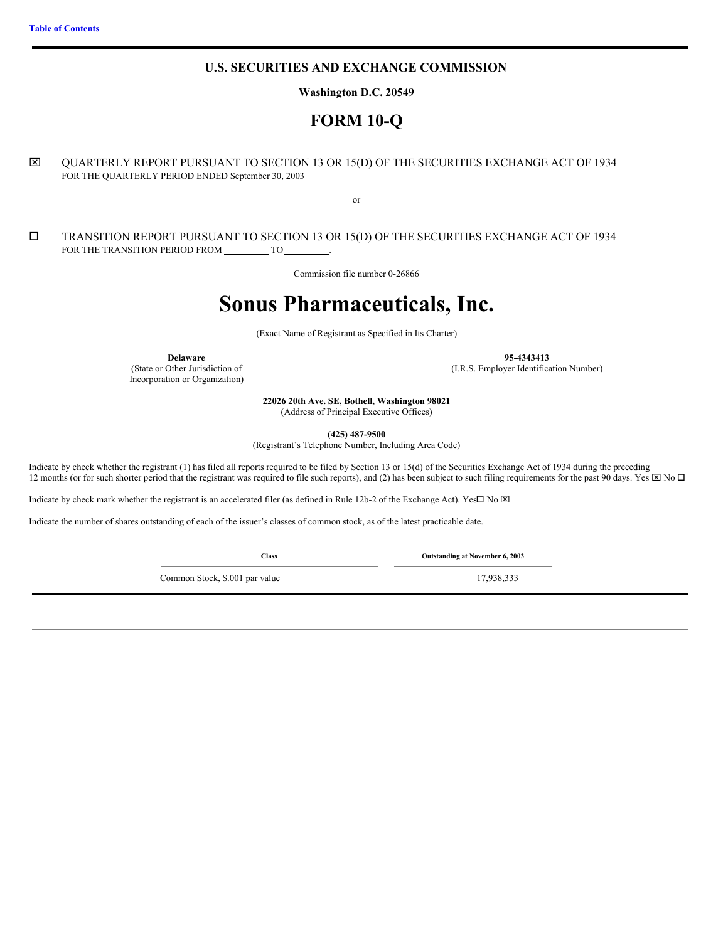## **U.S. SECURITIES AND EXCHANGE COMMISSION**

**Washington D.C. 20549**

## **FORM 10-Q**

<span id="page-0-0"></span>x QUARTERLY REPORT PURSUANT TO SECTION 13 OR 15(D) OF THE SECURITIES EXCHANGE ACT OF 1934 FOR THE QUARTERLY PERIOD ENDED September 30, 2003

or

o TRANSITION REPORT PURSUANT TO SECTION 13 OR 15(D) OF THE SECURITIES EXCHANGE ACT OF 1934 FOR THE TRANSITION PERIOD FROM \_\_\_\_\_\_\_\_\_\_ TO \_\_

Commission file number 0-26866

# **Sonus Pharmaceuticals, Inc.**

(Exact Name of Registrant as Specified in Its Charter)

**Delaware**

(State or Other Jurisdiction of Incorporation or Organization)

**95-4343413** (I.R.S. Employer Identification Number)

**22026 20th Ave. SE, Bothell, Washington 98021** (Address of Principal Executive Offices)

**(425) 487-9500**

(Registrant's Telephone Number, Including Area Code)

Indicate by check whether the registrant (1) has filed all reports required to be filed by Section 13 or 15(d) of the Securities Exchange Act of 1934 during the preceding 12 months (or for such shorter period that the registrant was required to file such reports), and (2) has been subject to such filing requirements for the past 90 days. Yes  $\boxtimes$  No  $\Box$ 

Indicate by check mark whether the registrant is an accelerated filer (as defined in Rule 12b-2 of the Exchange Act). Yes $\Box$  No  $\boxtimes$ 

Indicate the number of shares outstanding of each of the issuer's classes of common stock, as of the latest practicable date.

**Class Outstanding at November 6, 2003**

Common Stock, \$.001 par value 17,938,333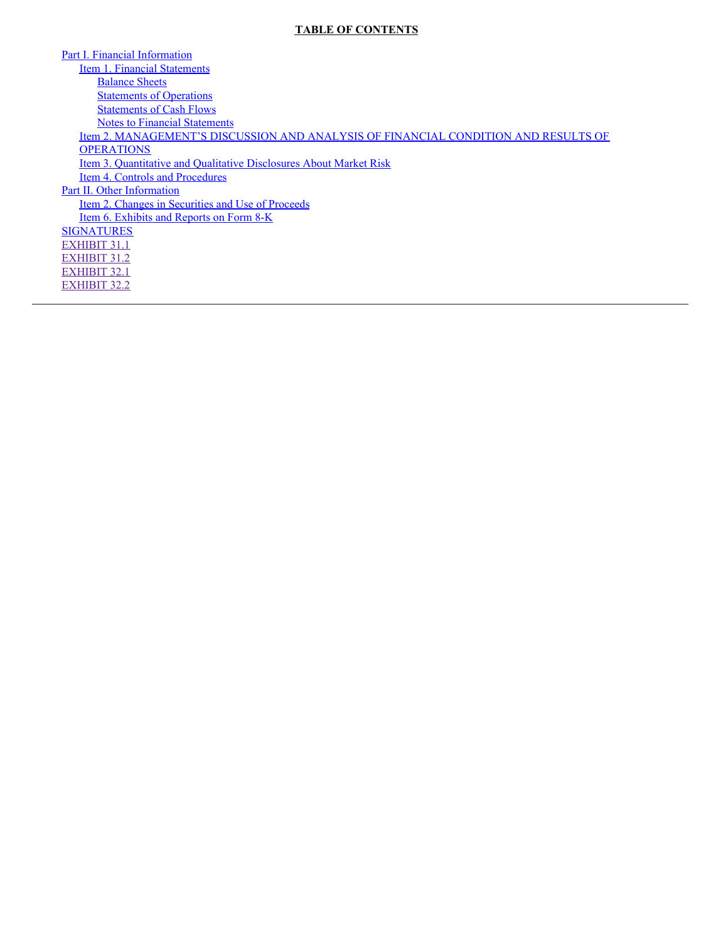## **TABLE OF CONTENTS**

Part I. Financial [Information](#page-3-0) Item 1. Financial [Statements](#page-3-1) [Balance](#page-3-2) Sheets **[Statements](#page-4-0) of Operations** [Statements](#page-5-0) of Cash Flows Notes to Financial [Statements](#page-6-0) Item 2. [MANAGEMENT'S](#page-8-0) DISCUSSION AND ANALYSIS OF FINANCIAL CONDITION AND RESULTS OF **OPERATIONS** Item 3. [Quantitative](#page-23-0) and Qualitative Disclosures About Market Risk Item 4. Controls and [Procedures](#page-23-1) Part II. Other [Information](#page-23-2) Item 2. Changes in [Securities](#page-23-3) and Use of Proceeds Item 6. [Exhibits](#page-23-4) and Reports on Form 8-K **[SIGNATURES](#page-24-0)** [EXHIBIT](#page-25-0) 31.1 [EXHIBIT](#page-26-0) 31.2 [EXHIBIT](#page-27-0) 32.1 [EXHIBIT](#page-28-0) 32.2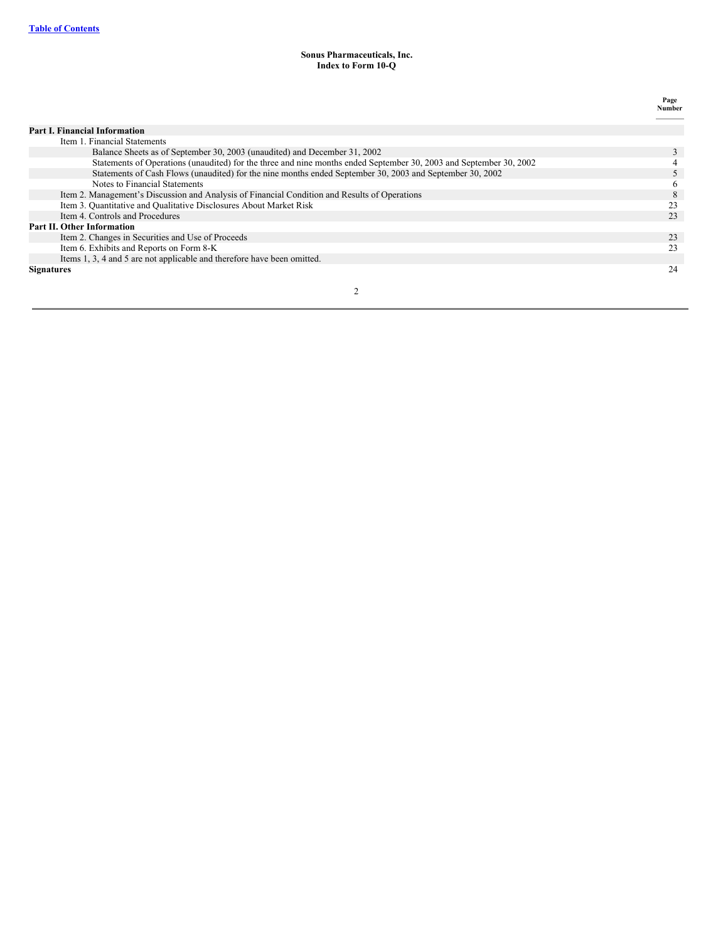## **Sonus Pharmaceuticals, Inc. Index to Form 10-Q**

## **Page Number**

| <b>Part I. Financial Information</b>                                                                               |    |
|--------------------------------------------------------------------------------------------------------------------|----|
| Item 1. Financial Statements                                                                                       |    |
| Balance Sheets as of September 30, 2003 (unaudited) and December 31, 2002                                          |    |
| Statements of Operations (unaudited) for the three and nine months ended September 30, 2003 and September 30, 2002 |    |
| Statements of Cash Flows (unaudited) for the nine months ended September 30, 2003 and September 30, 2002           |    |
| Notes to Financial Statements                                                                                      | o  |
| Item 2. Management's Discussion and Analysis of Financial Condition and Results of Operations                      | 8  |
| Item 3. Quantitative and Qualitative Disclosures About Market Risk                                                 | 23 |
| Item 4. Controls and Procedures                                                                                    | 23 |
| <b>Part II. Other Information</b>                                                                                  |    |
| Item 2. Changes in Securities and Use of Proceeds                                                                  | 23 |
| Item 6. Exhibits and Reports on Form 8-K                                                                           |    |
| Items 1, 3, 4 and 5 are not applicable and therefore have been omitted.                                            |    |
| <b>Signatures</b>                                                                                                  | 24 |
|                                                                                                                    |    |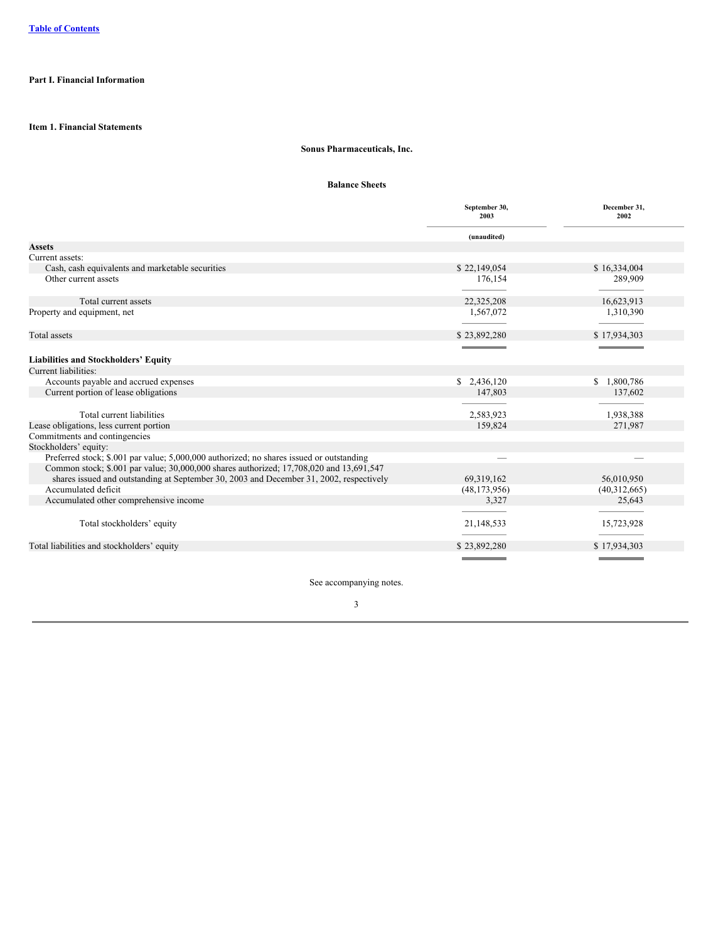## <span id="page-3-1"></span><span id="page-3-0"></span>**Part I. Financial Information**

## **Item 1. Financial Statements**

## **Sonus Pharmaceuticals, Inc.**

#### **Balance Sheets**

<span id="page-3-2"></span>

|                                                                                          | September 30,<br>2003                            | December 31,<br>2002                             |
|------------------------------------------------------------------------------------------|--------------------------------------------------|--------------------------------------------------|
|                                                                                          | (unaudited)                                      |                                                  |
| <b>Assets</b>                                                                            |                                                  |                                                  |
| Current assets:                                                                          |                                                  |                                                  |
| Cash, cash equivalents and marketable securities                                         | \$22,149,054                                     | \$16,334,004                                     |
| Other current assets                                                                     | 176,154                                          | 289,909                                          |
| Total current assets                                                                     | 22,325,208                                       | 16,623,913                                       |
| Property and equipment, net                                                              | 1,567,072                                        | 1,310,390                                        |
| <b>Total</b> assets                                                                      | \$23,892,280                                     | \$17,934,303                                     |
|                                                                                          | and the control of the control of the            | <b>Contract Contract Contract Contract</b>       |
| <b>Liabilities and Stockholders' Equity</b>                                              |                                                  |                                                  |
| Current liabilities:                                                                     |                                                  |                                                  |
| Accounts payable and accrued expenses                                                    | \$2,436,120                                      | \$1,800,786                                      |
| Current portion of lease obligations                                                     | 147,803                                          | 137,602                                          |
|                                                                                          |                                                  |                                                  |
| Total current liabilities                                                                | 2,583,923                                        | 1,938,388                                        |
| Lease obligations, less current portion                                                  | 159,824                                          | 271,987                                          |
| Commitments and contingencies                                                            |                                                  |                                                  |
| Stockholders' equity:                                                                    |                                                  |                                                  |
| Preferred stock; \$.001 par value; 5,000,000 authorized; no shares issued or outstanding |                                                  |                                                  |
| Common stock; \$.001 par value; 30,000,000 shares authorized; 17,708,020 and 13,691,547  |                                                  |                                                  |
| shares issued and outstanding at September 30, 2003 and December 31, 2002, respectively  | 69,319,162                                       | 56,010,950                                       |
| Accumulated deficit                                                                      | (48, 173, 956)                                   | (40,312,665)                                     |
| Accumulated other comprehensive income                                                   | 3,327                                            | 25,643                                           |
|                                                                                          |                                                  |                                                  |
| Total stockholders' equity                                                               | 21,148,533                                       | 15,723,928                                       |
| Total liabilities and stockholders' equity                                               | \$23,892,280                                     | \$17,934,303                                     |
|                                                                                          | and the control of the control of the control of | and the control of the control of the control of |

See accompanying notes.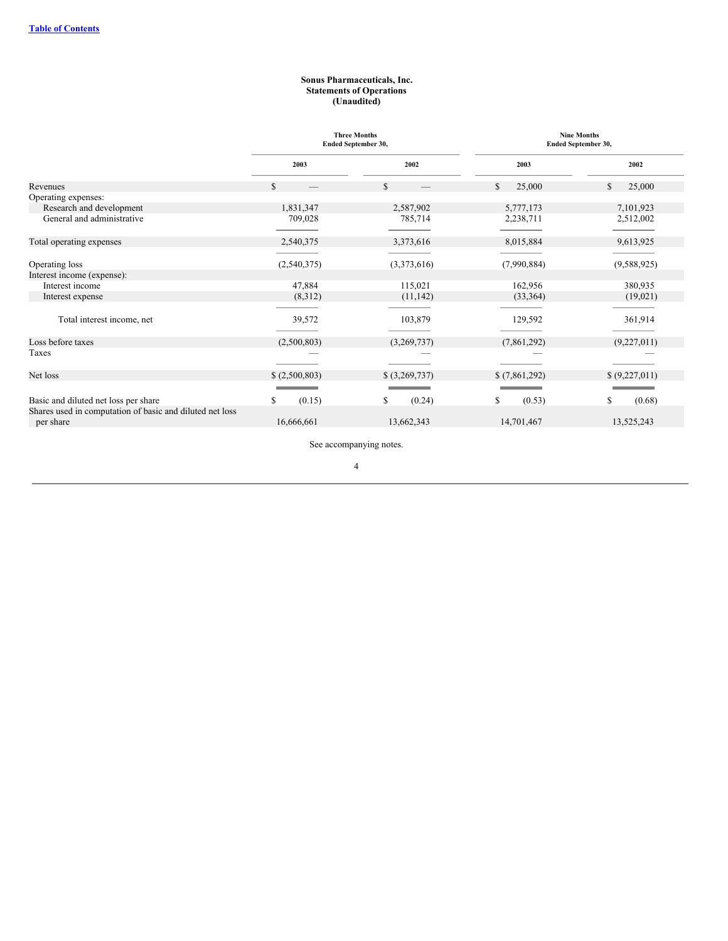#### **Sonus Pharmaceuticals, Inc. Statements of Operations (Unaudited)**

<span id="page-4-0"></span>

|                                                                       | <b>Three Months</b><br>Ended September 30, |                |               | <b>Nine Months</b><br>Ended September 30, |  |
|-----------------------------------------------------------------------|--------------------------------------------|----------------|---------------|-------------------------------------------|--|
|                                                                       | 2003<br>2002                               |                | 2003          | 2002                                      |  |
| Revenues                                                              | $\mathbb{S}$                               | S.             | S<br>25,000   | 25,000<br>S.                              |  |
| Operating expenses:                                                   |                                            |                |               |                                           |  |
| Research and development                                              | 1,831,347                                  | 2,587,902      | 5,777,173     | 7,101,923                                 |  |
| General and administrative                                            | 709,028                                    | 785,714        | 2,238,711     | 2,512,002                                 |  |
| Total operating expenses                                              | 2,540,375                                  | 3,373,616      | 8,015,884     | 9,613,925                                 |  |
| Operating loss<br>Interest income (expense):                          | (2,540,375)                                | (3,373,616)    | (7,990,884)   | (9,588,925)                               |  |
| Interest income                                                       | 47,884                                     | 115,021        | 162,956       | 380,935                                   |  |
| Interest expense                                                      | (8,312)                                    | (11, 142)      | (33, 364)     | (19,021)                                  |  |
|                                                                       |                                            |                |               |                                           |  |
| Total interest income, net                                            | 39,572                                     | 103,879        | 129,592       | 361,914                                   |  |
| Loss before taxes                                                     | (2,500,803)                                | (3,269,737)    | (7,861,292)   | (9,227,011)                               |  |
| Taxes                                                                 |                                            |                |               |                                           |  |
| Net loss                                                              | \$(2,500,803)                              | \$ (3,269,737) | \$(7,861,292) | \$(9,227,011)                             |  |
|                                                                       |                                            |                |               |                                           |  |
| Basic and diluted net loss per share                                  | S<br>(0.15)                                | (0.24)<br>S    | \$<br>(0.53)  | (0.68)<br>\$                              |  |
| Shares used in computation of basic and diluted net loss<br>per share | 16,666,661                                 | 13,662,343     | 14,701,467    | 13,525,243                                |  |

See accompanying notes.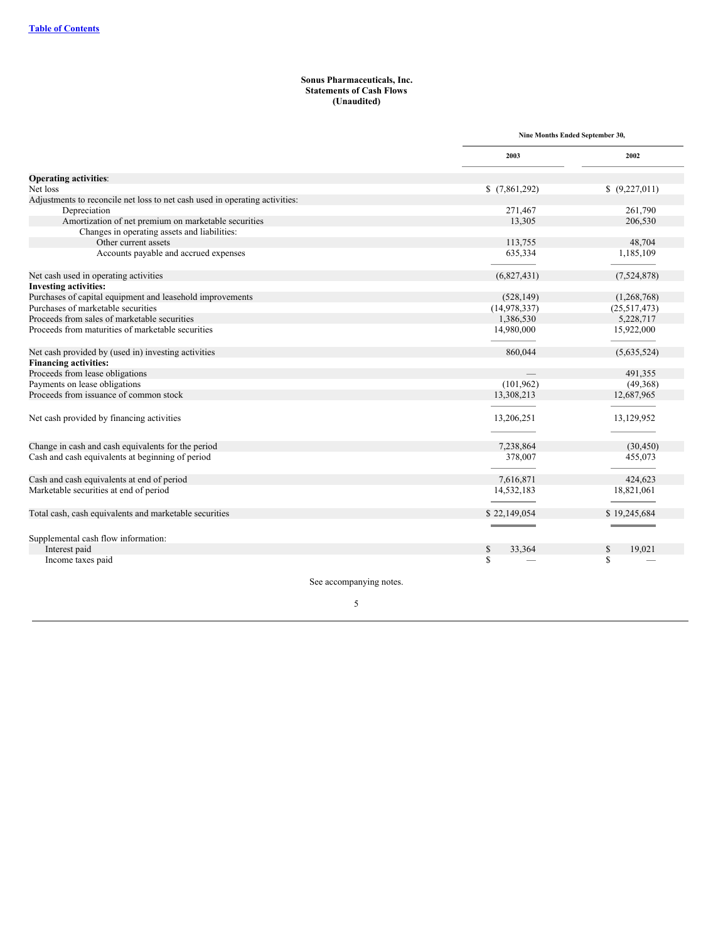#### **Sonus Pharmaceuticals, Inc. Statements of Cash Flows (Unaudited)**

<span id="page-5-0"></span>

|                                                                             | Nine Months Ended September 30, |               |
|-----------------------------------------------------------------------------|---------------------------------|---------------|
|                                                                             | 2003                            | 2002          |
| <b>Operating activities:</b>                                                |                                 |               |
| Net loss                                                                    | \$(7,861,292)                   | \$(9,227,011) |
| Adjustments to reconcile net loss to net cash used in operating activities: |                                 |               |
| Depreciation                                                                | 271,467                         | 261,790       |
| Amortization of net premium on marketable securities                        | 13,305                          | 206,530       |
| Changes in operating assets and liabilities:                                |                                 |               |
| Other current assets                                                        | 113,755                         | 48,704        |
| Accounts payable and accrued expenses                                       | 635,334                         | 1,185,109     |
| Net cash used in operating activities                                       | (6,827,431)                     | (7,524,878)   |
| <b>Investing activities:</b>                                                |                                 |               |
| Purchases of capital equipment and leasehold improvements                   | (528, 149)                      | (1,268,768)   |
| Purchases of marketable securities                                          | (14, 978, 337)                  | (25,517,473)  |
| Proceeds from sales of marketable securities                                | 1,386,530                       | 5,228,717     |
| Proceeds from maturities of marketable securities                           | 14,980,000                      | 15,922,000    |
| Net cash provided by (used in) investing activities                         | 860,044                         | (5,635,524)   |
| <b>Financing activities:</b>                                                |                                 |               |
| Proceeds from lease obligations                                             |                                 | 491,355       |
| Payments on lease obligations                                               | (101, 962)                      | (49,368)      |
| Proceeds from issuance of common stock                                      | 13,308,213                      | 12,687,965    |
|                                                                             |                                 |               |
| Net cash provided by financing activities                                   | 13,206,251                      | 13,129,952    |
|                                                                             |                                 |               |
| Change in cash and cash equivalents for the period                          | 7,238,864                       | (30, 450)     |
| Cash and cash equivalents at beginning of period                            | 378,007                         | 455,073       |
| Cash and cash equivalents at end of period                                  | 7,616,871                       | 424,623       |
| Marketable securities at end of period                                      | 14,532,183                      | 18,821,061    |
|                                                                             |                                 |               |
| Total cash, cash equivalents and marketable securities                      | \$22,149,054                    | \$19,245,684  |
|                                                                             |                                 |               |
| Supplemental cash flow information:                                         |                                 |               |
| Interest paid                                                               | \$<br>33,364                    | \$<br>19,021  |
| Income taxes paid                                                           | \$                              | S             |

See accompanying notes.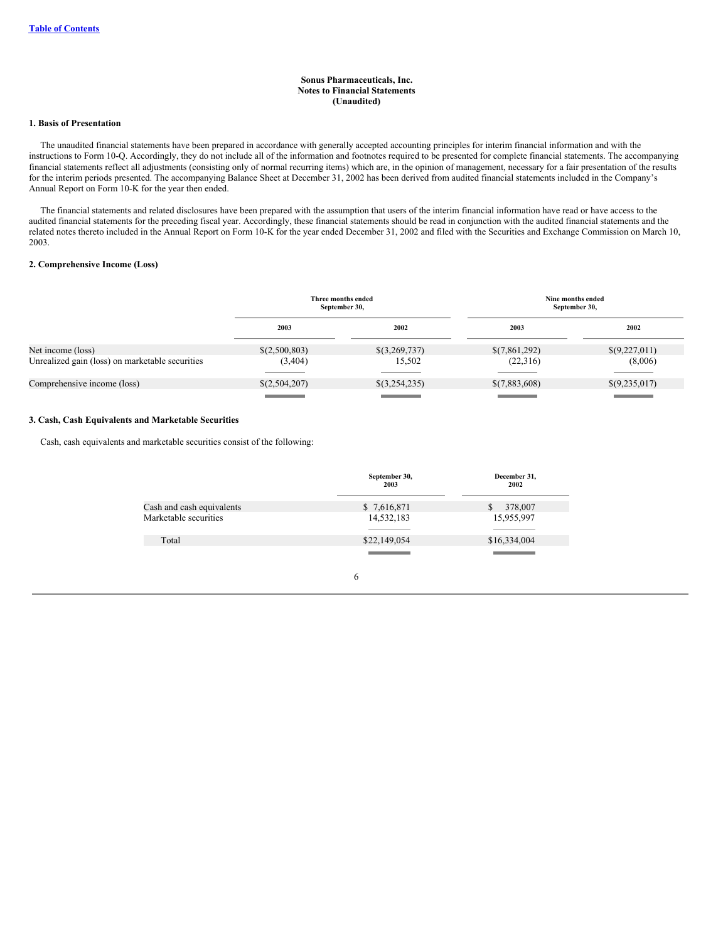#### **Sonus Pharmaceuticals, Inc. Notes to Financial Statements (Unaudited)**

## <span id="page-6-0"></span>**1. Basis of Presentation**

The unaudited financial statements have been prepared in accordance with generally accepted accounting principles for interim financial information and with the instructions to Form 10-Q. Accordingly, they do not include all of the information and footnotes required to be presented for complete financial statements. The accompanying financial statements reflect all adjustments (consisting only of normal recurring items) which are, in the opinion of management, necessary for a fair presentation of the results for the interim periods presented. The accompanying Balance Sheet at December 31, 2002 has been derived from audited financial statements included in the Company's Annual Report on Form 10-K for the year then ended.

The financial statements and related disclosures have been prepared with the assumption that users of the interim financial information have read or have access to the audited financial statements for the preceding fiscal year. Accordingly, these financial statements should be read in conjunction with the audited financial statements and the related notes thereto included in the Annual Report on Form 10-K for the year ended December 31, 2002 and filed with the Securities and Exchange Commission on March 10, 2003.

#### **2. Comprehensive Income (Loss)**

|                                                 | Three months ended<br>September 30,      |               | Nine months ended<br>September 30, |                                              |
|-------------------------------------------------|------------------------------------------|---------------|------------------------------------|----------------------------------------------|
|                                                 | 2003                                     | 2002          | 2003                               | 2002                                         |
| Net income (loss)                               | \$(2,500,803)                            | \$(3,269,737) | \$(7,861,292)                      | \$(9,227,011)                                |
| Unrealized gain (loss) on marketable securities | (3,404)<br>the control of the control of | 15.502        | (22,316)                           | (8,006)<br>and the control of the control of |
| Comprehensive income (loss)                     | \$(2,504,207)                            | \$(3,254,235) | \$(7,883,608)                      | \$(9,235,017)                                |
|                                                 | <b>Contract Contract Contract</b>        |               |                                    |                                              |

#### **3. Cash, Cash Equivalents and Marketable Securities**

Cash, cash equivalents and marketable securities consist of the following:

|                           | September 30,<br>2003 | December 31,<br>2002 |
|---------------------------|-----------------------|----------------------|
| Cash and cash equivalents | \$ 7,616,871          | 378,007<br>S         |
| Marketable securities     | 14,532,183            | 15,955,997           |
|                           |                       |                      |
| Total                     | \$22,149,054          | \$16,334,004         |
|                           |                       |                      |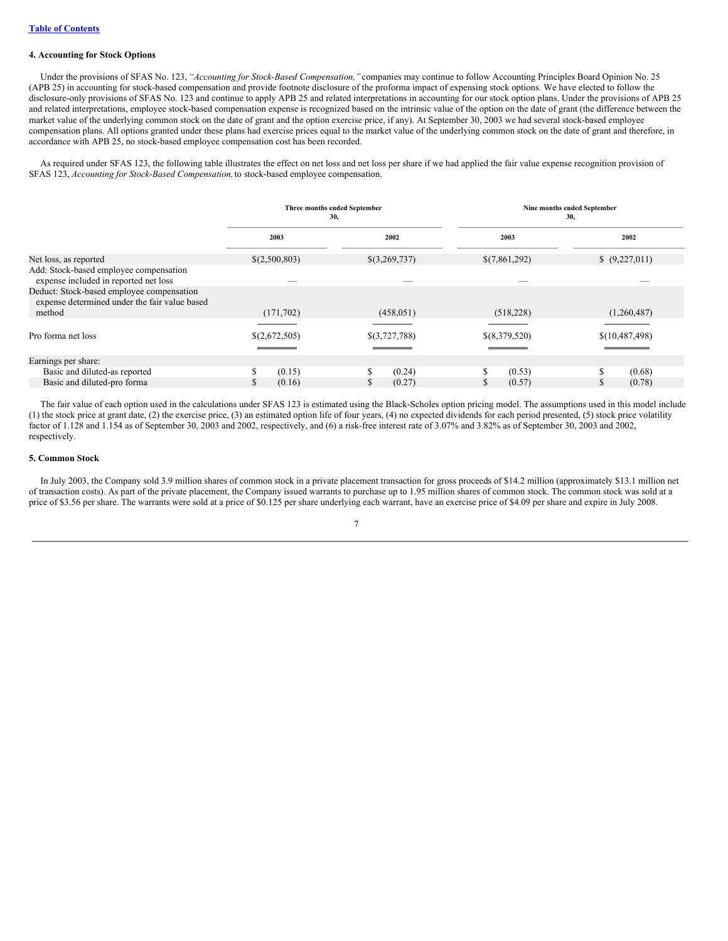#### **4. Accounting for Stock Options**

Under the provisions of SFAS No. 123, *"Accounting for Stock-Based Compensation,"* companies may continue to follow Accounting Principles Board Opinion No. 25 (APB 25) in accounting for stock-based compensation and provide footnote disclosure of the proforma impact of expensing stock options. We have elected to follow the disclosure-only provisions of SFAS No. 123 and continue to apply APB 25 and related interpretations in accounting for our stock option plans. Under the provisions of APB 25 and related interpretations, employee stock-based compensation expense is recognized based on the intrinsic value of the option on the date of grant (the difference between the market value of the underlying common stock on the date of grant and the option exercise price, if any). At September 30, 2003 we had several stock-based employee compensation plans. All options granted under these plans had exercise prices equal to the market value of the underlying common stock on the date of grant and therefore, in accordance with APB 25, no stock-based employee compensation cost has been recorded.

As required under SFAS 123, the following table illustrates the effect on net loss and net loss per share if we had applied the fair value expense recognition provision of SFAS 123, *Accounting for Stock-Based Compensation,*to stock-based employee compensation.

|                                                                                                      | Three months ended September<br>30, |               | Nine months ended September<br>30, |                |
|------------------------------------------------------------------------------------------------------|-------------------------------------|---------------|------------------------------------|----------------|
|                                                                                                      | 2003                                | 2002          | 2003                               | 2002           |
| Net loss, as reported                                                                                | \$(2,500,803)                       | \$(3,269,737) | \$(7,861,292)                      | \$ (9,227,011) |
| Add: Stock-based employee compensation<br>expense included in reported net loss                      |                                     |               |                                    |                |
| Deduct: Stock-based employee compensation<br>expense determined under the fair value based<br>method | (171, 702)                          | (458, 051)    | (518, 228)                         | (1,260,487)    |
| Pro forma net loss                                                                                   | \$(2,672,505)                       | \$(3,727,788) | \$(8,379,520)                      | \$(10,487,498) |
| Earnings per share:                                                                                  |                                     |               |                                    |                |
| Basic and diluted-as reported                                                                        | (0.15)                              | (0.24)        | (0.53)                             | (0.68)         |
| Basic and diluted-pro forma                                                                          | (0.16)                              | \$<br>(0.27)  | (0.57)<br>ъ                        | (0.78)         |

The fair value of each option used in the calculations under SFAS 123 is estimated using the Black-Scholes option pricing model. The assumptions used in this model include (1) the stock price at grant date, (2) the exercise price, (3) an estimated option life of four years, (4) no expected dividends for each period presented, (5) stock price volatility factor of 1.128 and 1.154 as of September 30, 2003 and 2002, respectively, and (6) a risk-free interest rate of 3.07% and 3.82% as of September 30, 2003 and 2002, respectively.

#### **5. Common Stock**

In July 2003, the Company sold 3.9 million shares of common stock in a private placement transaction for gross proceeds of \$14.2 million (approximately \$13.1 million net of transaction costs). As part of the private placement, the Company issued warrants to purchase up to 1.95 million shares of common stock. The common stock was sold at a price of \$3.56 per share. The warrants were sold at a price of \$0.125 per share underlying each warrant, have an exercise price of \$4.09 per share and expire in July 2008.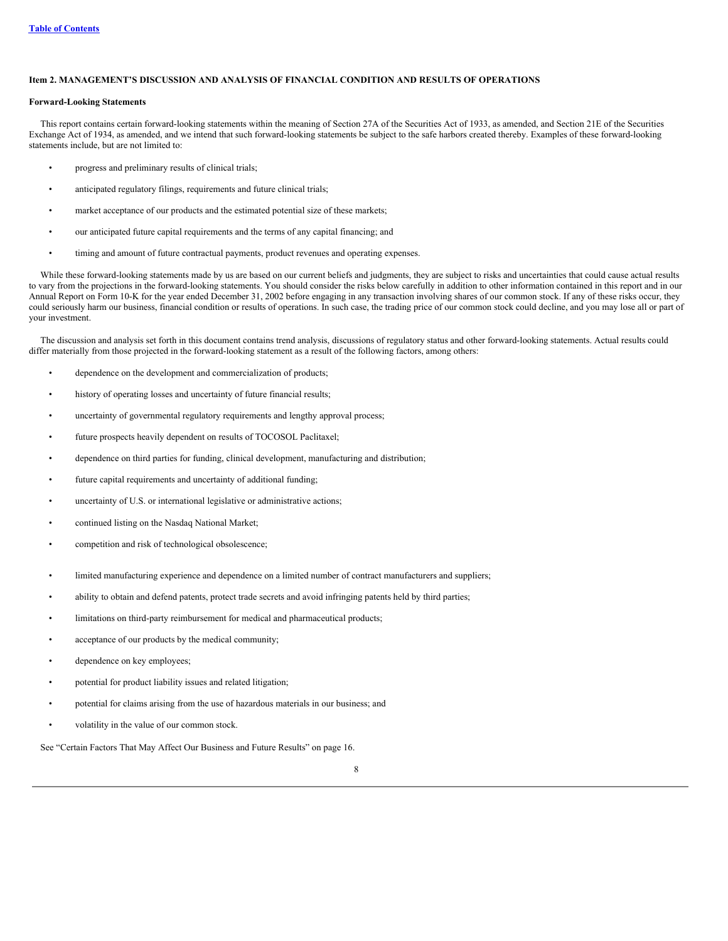#### <span id="page-8-0"></span>**Item 2. MANAGEMENT'S DISCUSSION AND ANALYSIS OF FINANCIAL CONDITION AND RESULTS OF OPERATIONS**

#### **Forward-Looking Statements**

This report contains certain forward-looking statements within the meaning of Section 27A of the Securities Act of 1933, as amended, and Section 21E of the Securities Exchange Act of 1934, as amended, and we intend that such forward-looking statements be subject to the safe harbors created thereby. Examples of these forward-looking statements include, but are not limited to:

- progress and preliminary results of clinical trials;
- anticipated regulatory filings, requirements and future clinical trials;
- market acceptance of our products and the estimated potential size of these markets;
- our anticipated future capital requirements and the terms of any capital financing; and
- timing and amount of future contractual payments, product revenues and operating expenses.

While these forward-looking statements made by us are based on our current beliefs and judgments, they are subject to risks and uncertainties that could cause actual results to vary from the projections in the forward-looking statements. You should consider the risks below carefully in addition to other information contained in this report and in our Annual Report on Form 10-K for the year ended December 31, 2002 before engaging in any transaction involving shares of our common stock. If any of these risks occur, they could seriously harm our business, financial condition or results of operations. In such case, the trading price of our common stock could decline, and you may lose all or part of your investment.

The discussion and analysis set forth in this document contains trend analysis, discussions of regulatory status and other forward-looking statements. Actual results could differ materially from those projected in the forward-looking statement as a result of the following factors, among others:

- dependence on the development and commercialization of products;
- history of operating losses and uncertainty of future financial results;
- uncertainty of governmental regulatory requirements and lengthy approval process;
- future prospects heavily dependent on results of TOCOSOL Paclitaxel;
- dependence on third parties for funding, clinical development, manufacturing and distribution;
- future capital requirements and uncertainty of additional funding;
- uncertainty of U.S. or international legislative or administrative actions;
- continued listing on the Nasdaq National Market;
- competition and risk of technological obsolescence;
- limited manufacturing experience and dependence on a limited number of contract manufacturers and suppliers;
- ability to obtain and defend patents, protect trade secrets and avoid infringing patents held by third parties;
- limitations on third-party reimbursement for medical and pharmaceutical products;
- acceptance of our products by the medical community;
- dependence on key employees;
- potential for product liability issues and related litigation;
- potential for claims arising from the use of hazardous materials in our business; and
- volatility in the value of our common stock.

See "Certain Factors That May Affect Our Business and Future Results" on page 16.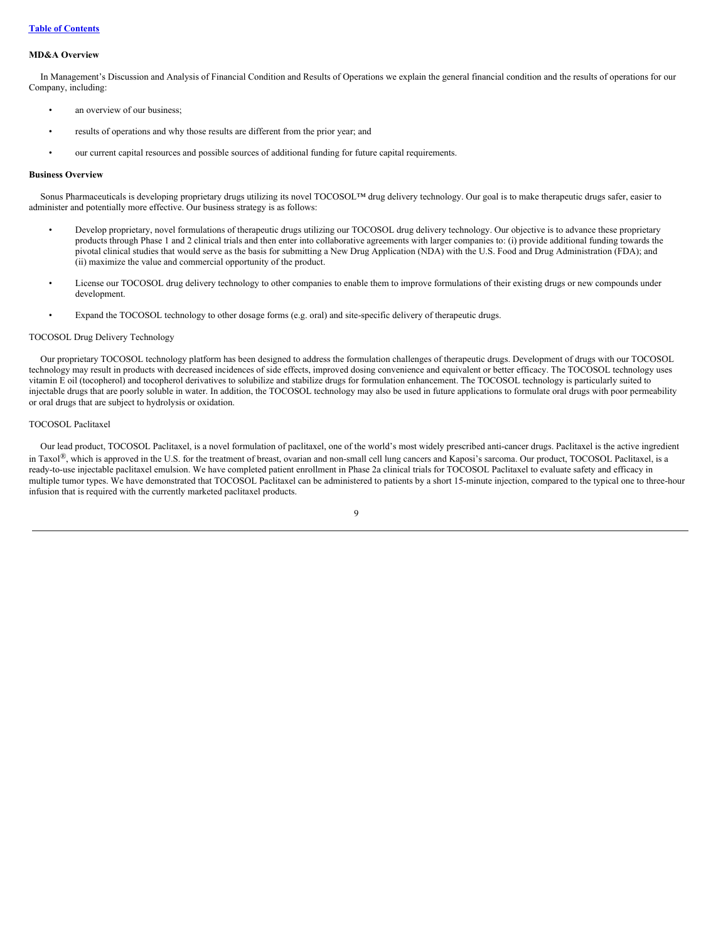#### **MD&A Overview**

In Management's Discussion and Analysis of Financial Condition and Results of Operations we explain the general financial condition and the results of operations for our Company, including:

- an overview of our business;
- results of operations and why those results are different from the prior year; and
- our current capital resources and possible sources of additional funding for future capital requirements.

#### **Business Overview**

Sonus Pharmaceuticals is developing proprietary drugs utilizing its novel TOCOSOL™ drug delivery technology. Our goal is to make therapeutic drugs safer, easier to administer and potentially more effective. Our business strategy is as follows:

- Develop proprietary, novel formulations of therapeutic drugs utilizing our TOCOSOL drug delivery technology. Our objective is to advance these proprietary products through Phase 1 and 2 clinical trials and then enter into collaborative agreements with larger companies to: (i) provide additional funding towards the pivotal clinical studies that would serve as the basis for submitting a New Drug Application (NDA) with the U.S. Food and Drug Administration (FDA); and (ii) maximize the value and commercial opportunity of the product.
- License our TOCOSOL drug delivery technology to other companies to enable them to improve formulations of their existing drugs or new compounds under development.
- Expand the TOCOSOL technology to other dosage forms (e.g. oral) and site-specific delivery of therapeutic drugs.

#### TOCOSOL Drug Delivery Technology

Our proprietary TOCOSOL technology platform has been designed to address the formulation challenges of therapeutic drugs. Development of drugs with our TOCOSOL technology may result in products with decreased incidences of side effects, improved dosing convenience and equivalent or better efficacy. The TOCOSOL technology uses vitamin E oil (tocopherol) and tocopherol derivatives to solubilize and stabilize drugs for formulation enhancement. The TOCOSOL technology is particularly suited to injectable drugs that are poorly soluble in water. In addition, the TOCOSOL technology may also be used in future applications to formulate oral drugs with poor permeability or oral drugs that are subject to hydrolysis or oxidation.

#### TOCOSOL Paclitaxel

Our lead product, TOCOSOL Paclitaxel, is a novel formulation of paclitaxel, one of the world's most widely prescribed anti-cancer drugs. Paclitaxel is the active ingredient in Taxol<sup>®</sup>, which is approved in the U.S. for the treatment of breast, ovarian and non-small cell lung cancers and Kaposi's sarcoma. Our product, TOCOSOL Paclitaxel, is a ready-to-use injectable paclitaxel emulsion. We have completed patient enrollment in Phase 2a clinical trials for TOCOSOL Paclitaxel to evaluate safety and efficacy in multiple tumor types. We have demonstrated that TOCOSOL Paclitaxel can be administered to patients by a short 15-minute injection, compared to the typical one to three-hour infusion that is required with the currently marketed paclitaxel products.

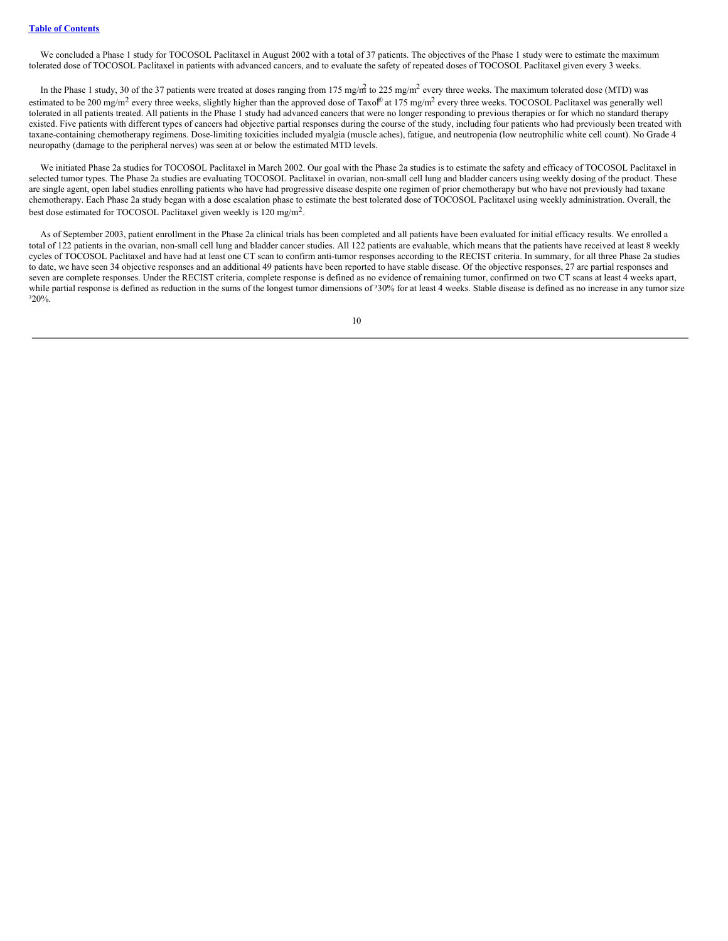We concluded a Phase 1 study for TOCOSOL Paclitaxel in August 2002 with a total of 37 patients. The objectives of the Phase 1 study were to estimate the maximum tolerated dose of TOCOSOL Paclitaxel in patients with advanced cancers, and to evaluate the safety of repeated doses of TOCOSOL Paclitaxel given every 3 weeks.

In the Phase 1 study, 30 of the 37 patients were treated at doses ranging from 175 mg/m<sup>2</sup> to 225 mg/m<sup>2</sup> every three weeks. The maximum tolerated dose (MTD) was estimated to be 200 mg/m<sup>2</sup> every three weeks, slightly higher than the approved dose of Taxo $\mathbb{P}$  at 175 mg/m<sup>2</sup> every three weeks. TOCOSOL Paclitaxel was generally well tolerated in all patients treated. All patients in the Phase 1 study had advanced cancers that were no longer responding to previous therapies or for which no standard therapy existed. Five patients with different types of cancers had objective partial responses during the course of the study, including four patients who had previously been treated with taxane-containing chemotherapy regimens. Dose-limiting toxicities included myalgia (muscle aches), fatigue, and neutropenia (low neutrophilic white cell count). No Grade 4 neuropathy (damage to the peripheral nerves) was seen at or below the estimated MTD levels.

We initiated Phase 2a studies for TOCOSOL Paclitaxel in March 2002. Our goal with the Phase 2a studies is to estimate the safety and efficacy of TOCOSOL Paclitaxel in selected tumor types. The Phase 2a studies are evaluating TOCOSOL Paclitaxel in ovarian, non-small cell lung and bladder cancers using weekly dosing of the product. These are single agent, open label studies enrolling patients who have had progressive disease despite one regimen of prior chemotherapy but who have not previously had taxane chemotherapy. Each Phase 2a study began with a dose escalation phase to estimate the best tolerated dose of TOCOSOL Paclitaxel using weekly administration. Overall, the best dose estimated for TOCOSOL Paclitaxel given weekly is  $120 \text{ mg/m}^2$ .

As of September 2003, patient enrollment in the Phase 2a clinical trials has been completed and all patients have been evaluated for initial efficacy results. We enrolled a total of 122 patients in the ovarian, non-small cell lung and bladder cancer studies. All 122 patients are evaluable, which means that the patients have received at least 8 weekly cycles of TOCOSOL Paclitaxel and have had at least one CT scan to confirm anti-tumor responses according to the RECIST criteria. In summary, for all three Phase 2a studies to date, we have seen 34 objective responses and an additional 49 patients have been reported to have stable disease. Of the objective responses, 27 are partial responses and seven are complete responses. Under the RECIST criteria, complete response is defined as no evidence of remaining tumor, confirmed on two CT scans at least 4 weeks apart, while partial response is defined as reduction in the sums of the longest tumor dimensions of 30% for at least 4 weeks. Stable disease is defined as no increase in any tumor size ³20%.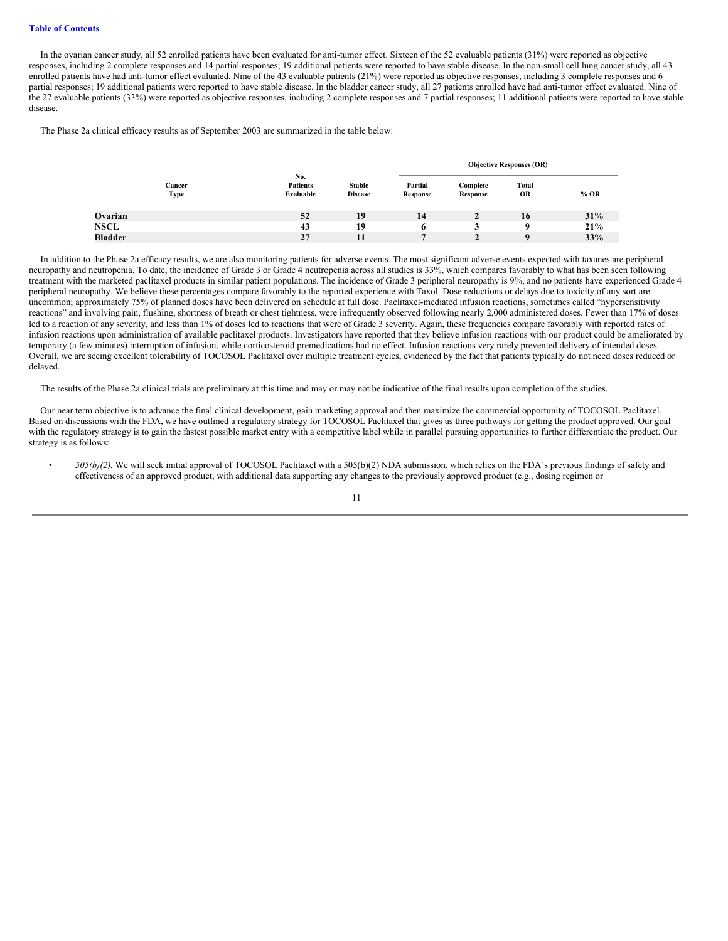In the ovarian cancer study, all 52 enrolled patients have been evaluated for anti-tumor effect. Sixteen of the 52 evaluable patients (31%) were reported as objective responses, including 2 complete responses and 14 partial responses; 19 additional patients were reported to have stable disease. In the non-small cell lung cancer study, all 43 enrolled patients have had anti-tumor effect evaluated. Nine of the 43 evaluable patients (21%) were reported as objective responses, including 3 complete responses and 6 partial responses; 19 additional patients were reported to have stable disease. In the bladder cancer study, all 27 patients enrolled have had anti-tumor effect evaluated. Nine of the 27 evaluable patients (33%) were reported as objective responses, including 2 complete responses and 7 partial responses; 11 additional patients were reported to have stable disease.

The Phase 2a clinical efficacy results as of September 2003 are summarized in the table below:

|                |                |                                     |                                 |                     |                      | <b>Objective Responses (OR)</b> |        |
|----------------|----------------|-------------------------------------|---------------------------------|---------------------|----------------------|---------------------------------|--------|
|                | Cancer<br>Type | No.<br><b>Patients</b><br>Evaluable | <b>Stable</b><br><b>Disease</b> | Partial<br>Response | Complete<br>Response | Total<br>OR                     | $%$ OR |
| Ovarian        |                | 52                                  | 19                              | 14                  |                      | 16                              | 31%    |
| <b>NSCL</b>    |                | 43                                  | 19                              | o                   | J                    | Q                               | 21%    |
| <b>Bladder</b> |                | 27                                  |                                 | п                   |                      | $\bf{Q}$                        | 33%    |

In addition to the Phase 2a efficacy results, we are also monitoring patients for adverse events. The most significant adverse events expected with taxanes are peripheral neuropathy and neutropenia. To date, the incidence of Grade 3 or Grade 4 neutropenia across all studies is 33%, which compares favorably to what has been seen following treatment with the marketed paclitaxel products in similar patient populations. The incidence of Grade 3 peripheral neuropathy is 9%, and no patients have experienced Grade 4 peripheral neuropathy. We believe these percentages compare favorably to the reported experience with Taxol. Dose reductions or delays due to toxicity of any sort are uncommon; approximately 75% of planned doses have been delivered on schedule at full dose. Paclitaxel-mediated infusion reactions, sometimes called "hypersensitivity reactions" and involving pain, flushing, shortness of breath or chest tightness, were infrequently observed following nearly 2,000 administered doses. Fewer than 17% of doses led to a reaction of any severity, and less than 1% of doses led to reactions that were of Grade 3 severity. Again, these frequencies compare favorably with reported rates of infusion reactions upon administration of available paclitaxel products. Investigators have reported that they believe infusion reactions with our product could be ameliorated by temporary (a few minutes) interruption of infusion, while corticosteroid premedications had no effect. Infusion reactions very rarely prevented delivery of intended doses. Overall, we are seeing excellent tolerability of TOCOSOL Paclitaxel over multiple treatment cycles, evidenced by the fact that patients typically do not need doses reduced or delayed.

The results of the Phase 2a clinical trials are preliminary at this time and may or may not be indicative of the final results upon completion of the studies.

Our near term objective is to advance the final clinical development, gain marketing approval and then maximize the commercial opportunity of TOCOSOL Paclitaxel. Based on discussions with the FDA, we have outlined a regulatory strategy for TOCOSOL Paclitaxel that gives us three pathways for getting the product approved. Our goal with the regulatory strategy is to gain the fastest possible market entry with a competitive label while in parallel pursuing opportunities to further differentiate the product. Our strategy is as follows:

• *505(b)(2).* We will seek initial approval of TOCOSOL Paclitaxel with a 505(b)(2) NDA submission, which relies on the FDA's previous findings of safety and effectiveness of an approved product, with additional data supporting any changes to the previously approved product (e.g., dosing regimen or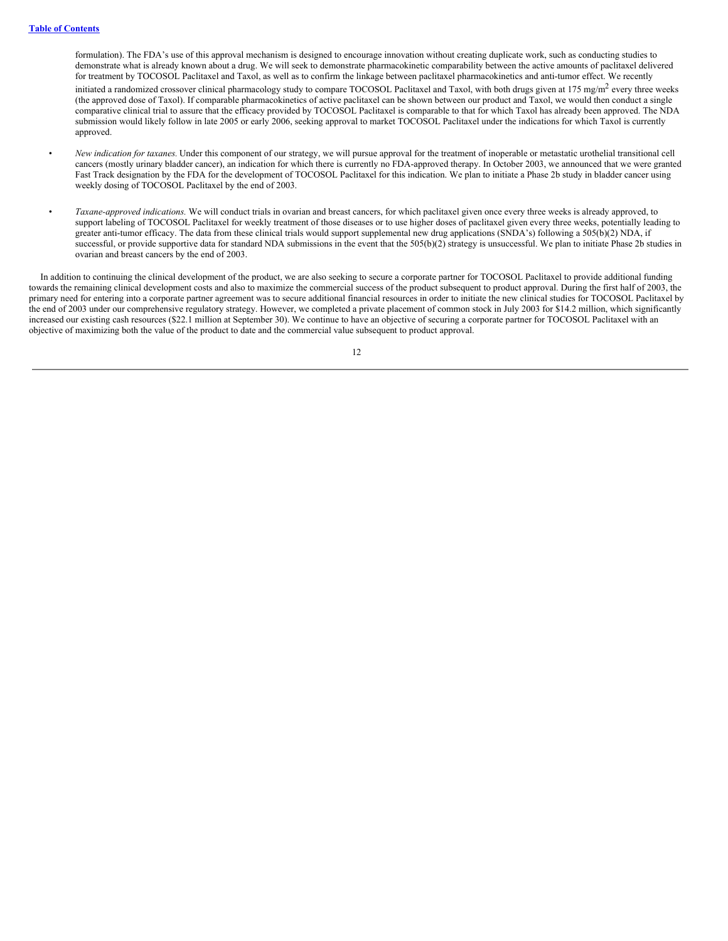formulation). The FDA's use of this approval mechanism is designed to encourage innovation without creating duplicate work, such as conducting studies to demonstrate what is already known about a drug. We will seek to demonstrate pharmacokinetic comparability between the active amounts of paclitaxel delivered for treatment by TOCOSOL Paclitaxel and Taxol, as well as to confirm the linkage between paclitaxel pharmacokinetics and anti-tumor effect. We recently initiated a randomized crossover clinical pharmacology study to compare TOCOSOL Paclitaxel and Taxol, with both drugs given at 175 mg/m<sup>2</sup> every three weeks (the approved dose of Taxol). If comparable pharmacokinetics of active paclitaxel can be shown between our product and Taxol, we would then conduct a single comparative clinical trial to assure that the efficacy provided by TOCOSOL Paclitaxel is comparable to that for which Taxol has already been approved. The NDA submission would likely follow in late 2005 or early 2006, seeking approval to market TOCOSOL Paclitaxel under the indications for which Taxol is currently approved.

- *New indication for taxanes.* Under this component of our strategy, we will pursue approval for the treatment of inoperable or metastatic urothelial transitional cell cancers (mostly urinary bladder cancer), an indication for which there is currently no FDA-approved therapy. In October 2003, we announced that we were granted Fast Track designation by the FDA for the development of TOCOSOL Paclitaxel for this indication. We plan to initiate a Phase 2b study in bladder cancer using weekly dosing of TOCOSOL Paclitaxel by the end of 2003.
- *Taxane-approved indications.* We will conduct trials in ovarian and breast cancers, for which paclitaxel given once every three weeks is already approved, to support labeling of TOCOSOL Paclitaxel for weekly treatment of those diseases or to use higher doses of paclitaxel given every three weeks, potentially leading to greater anti-tumor efficacy. The data from these clinical trials would support supplemental new drug applications (SNDA's) following a 505(b)(2) NDA, if successful, or provide supportive data for standard NDA submissions in the event that the 505(b)(2) strategy is unsuccessful. We plan to initiate Phase 2b studies in ovarian and breast cancers by the end of 2003.

In addition to continuing the clinical development of the product, we are also seeking to secure a corporate partner for TOCOSOL Paclitaxel to provide additional funding towards the remaining clinical development costs and also to maximize the commercial success of the product subsequent to product approval. During the first half of 2003, the primary need for entering into a corporate partner agreement was to secure additional financial resources in order to initiate the new clinical studies for TOCOSOL Paclitaxel by the end of 2003 under our comprehensive regulatory strategy. However, we completed a private placement of common stock in July 2003 for \$14.2 million, which significantly increased our existing cash resources (\$22.1 million at September 30). We continue to have an objective of securing a corporate partner for TOCOSOL Paclitaxel with an objective of maximizing both the value of the product to date and the commercial value subsequent to product approval.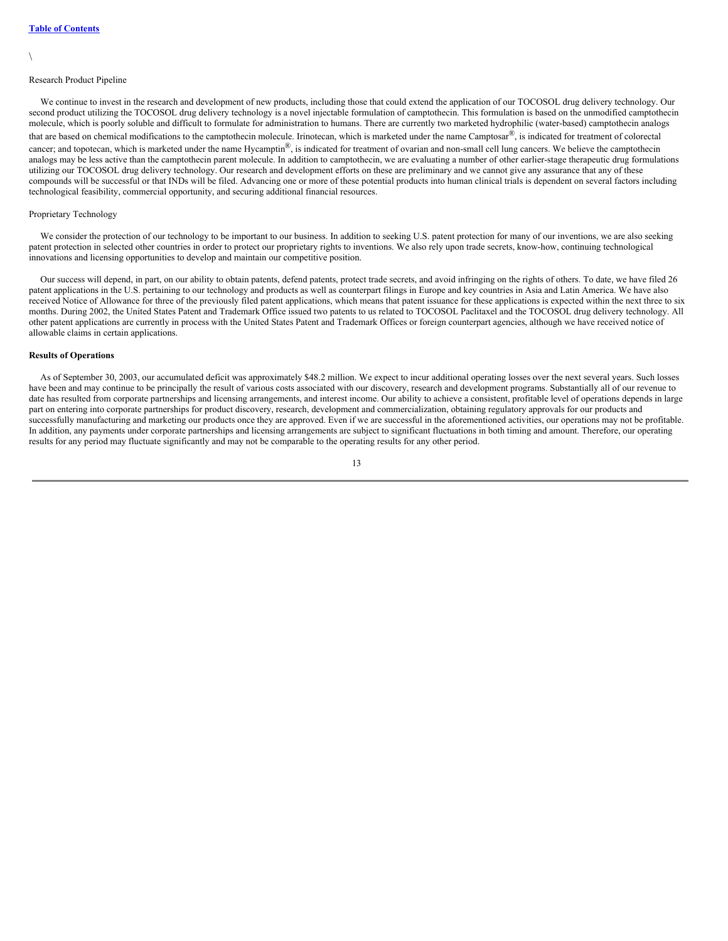#### \

#### Research Product Pipeline

We continue to invest in the research and development of new products, including those that could extend the application of our TOCOSOL drug delivery technology. Our second product utilizing the TOCOSOL drug delivery technology is a novel injectable formulation of camptothecin. This formulation is based on the unmodified camptothecin molecule, which is poorly soluble and difficult to formulate for administration to humans. There are currently two marketed hydrophilic (water-based) camptothecin analogs that are based on chemical modifications to the camptothecin molecule. Irinotecan, which is marketed under the name Camptosar<sup>®</sup>, is indicated for treatment of colorectal cancer; and topotecan, which is marketed under the name  $Hycampitin<sup>®</sup>$ , is indicated for treatment of ovarian and non-small cell lung cancers. We believe the camptothecin analogs may be less active than the camptothecin parent molecule. In addition to camptothecin, we are evaluating a number of other earlier-stage therapeutic drug formulations utilizing our TOCOSOL drug delivery technology. Our research and development efforts on these are preliminary and we cannot give any assurance that any of these compounds will be successful or that INDs will be filed. Advancing one or more of these potential products into human clinical trials is dependent on several factors including technological feasibility, commercial opportunity, and securing additional financial resources.

#### Proprietary Technology

We consider the protection of our technology to be important to our business. In addition to seeking U.S. patent protection for many of our inventions, we are also seeking patent protection in selected other countries in order to protect our proprietary rights to inventions. We also rely upon trade secrets, know-how, continuing technological innovations and licensing opportunities to develop and maintain our competitive position.

Our success will depend, in part, on our ability to obtain patents, defend patents, protect trade secrets, and avoid infringing on the rights of others. To date, we have filed 26 patent applications in the U.S. pertaining to our technology and products as well as counterpart filings in Europe and key countries in Asia and Latin America. We have also received Notice of Allowance for three of the previously filed patent applications, which means that patent issuance for these applications is expected within the next three to six months. During 2002, the United States Patent and Trademark Office issued two patents to us related to TOCOSOL Paclitaxel and the TOCOSOL drug delivery technology. All other patent applications are currently in process with the United States Patent and Trademark Offices or foreign counterpart agencies, although we have received notice of allowable claims in certain applications.

#### **Results of Operations**

As of September 30, 2003, our accumulated deficit was approximately \$48.2 million. We expect to incur additional operating losses over the next several years. Such losses have been and may continue to be principally the result of various costs associated with our discovery, research and development programs. Substantially all of our revenue to date has resulted from corporate partnerships and licensing arrangements, and interest income. Our ability to achieve a consistent, profitable level of operations depends in large part on entering into corporate partnerships for product discovery, research, development and commercialization, obtaining regulatory approvals for our products and successfully manufacturing and marketing our products once they are approved. Even if we are successful in the aforementioned activities, our operations may not be profitable. In addition, any payments under corporate partnerships and licensing arrangements are subject to significant fluctuations in both timing and amount. Therefore, our operating results for any period may fluctuate significantly and may not be comparable to the operating results for any other period.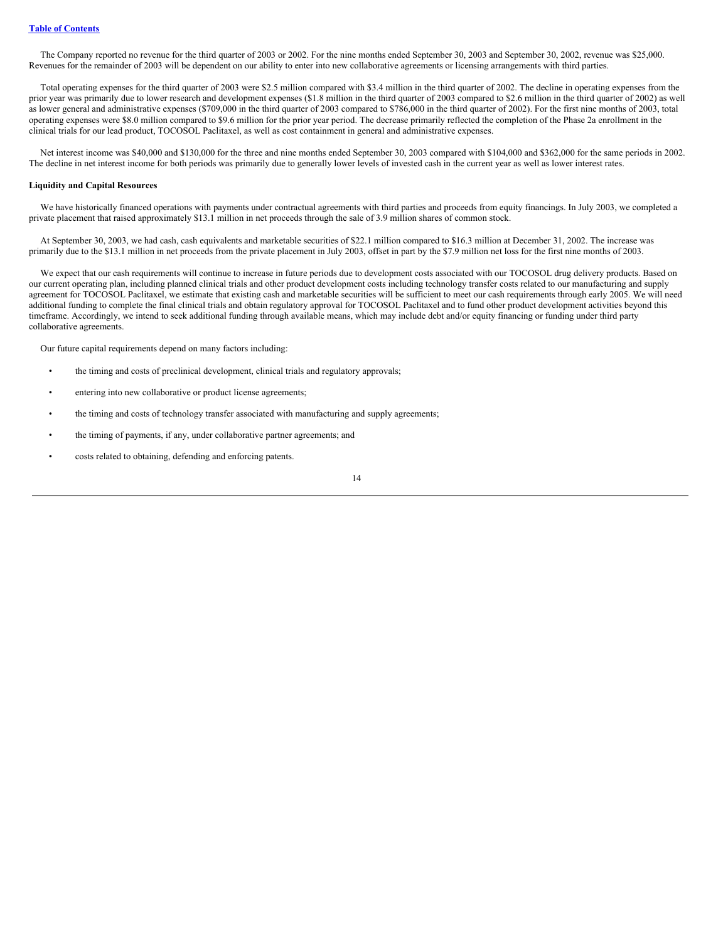The Company reported no revenue for the third quarter of 2003 or 2002. For the nine months ended September 30, 2003 and September 30, 2002, revenue was \$25,000. Revenues for the remainder of 2003 will be dependent on our ability to enter into new collaborative agreements or licensing arrangements with third parties.

Total operating expenses for the third quarter of 2003 were \$2.5 million compared with \$3.4 million in the third quarter of 2002. The decline in operating expenses from the prior year was primarily due to lower research and development expenses (\$1.8 million in the third quarter of 2003 compared to \$2.6 million in the third quarter of 2002) as well as lower general and administrative expenses (\$709,000 in the third quarter of 2003 compared to \$786,000 in the third quarter of 2002). For the first nine months of 2003, total operating expenses were \$8.0 million compared to \$9.6 million for the prior year period. The decrease primarily reflected the completion of the Phase 2a enrollment in the clinical trials for our lead product, TOCOSOL Paclitaxel, as well as cost containment in general and administrative expenses.

Net interest income was \$40,000 and \$130,000 for the three and nine months ended September 30, 2003 compared with \$104,000 and \$362,000 for the same periods in 2002. The decline in net interest income for both periods was primarily due to generally lower levels of invested cash in the current year as well as lower interest rates.

#### **Liquidity and Capital Resources**

We have historically financed operations with payments under contractual agreements with third parties and proceeds from equity financings. In July 2003, we completed a private placement that raised approximately \$13.1 million in net proceeds through the sale of 3.9 million shares of common stock.

At September 30, 2003, we had cash, cash equivalents and marketable securities of \$22.1 million compared to \$16.3 million at December 31, 2002. The increase was primarily due to the \$13.1 million in net proceeds from the private placement in July 2003, offset in part by the \$7.9 million net loss for the first nine months of 2003.

We expect that our cash requirements will continue to increase in future periods due to development costs associated with our TOCOSOL drug delivery products. Based on our current operating plan, including planned clinical trials and other product development costs including technology transfer costs related to our manufacturing and supply agreement for TOCOSOL Paclitaxel, we estimate that existing cash and marketable securities will be sufficient to meet our cash requirements through early 2005. We will need additional funding to complete the final clinical trials and obtain regulatory approval for TOCOSOL Paclitaxel and to fund other product development activities beyond this timeframe. Accordingly, we intend to seek additional funding through available means, which may include debt and/or equity financing or funding under third party collaborative agreements.

Our future capital requirements depend on many factors including:

- the timing and costs of preclinical development, clinical trials and regulatory approvals;
- entering into new collaborative or product license agreements;
- the timing and costs of technology transfer associated with manufacturing and supply agreements;
- the timing of payments, if any, under collaborative partner agreements; and
- costs related to obtaining, defending and enforcing patents.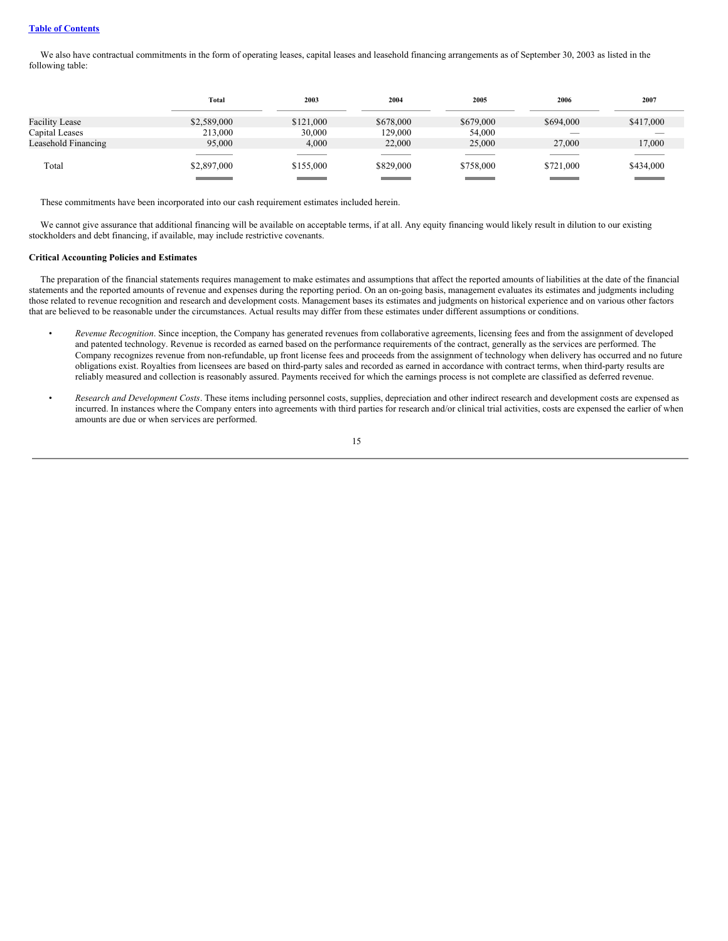#### **Table of [Contents](#page-0-0)**

We also have contractual commitments in the form of operating leases, capital leases and leasehold financing arrangements as of September 30, 2003 as listed in the following table:

|                       | Total       | 2003      | 2004      | 2005      | 2006                     | 2007                     |
|-----------------------|-------------|-----------|-----------|-----------|--------------------------|--------------------------|
| <b>Facility Lease</b> | \$2,589,000 | \$121,000 | \$678,000 | \$679,000 | \$694,000                | \$417,000                |
| Capital Leases        | 213,000     | 30,000    | 129,000   | 54,000    | $\overline{\phantom{a}}$ | $\overline{\phantom{a}}$ |
| Leasehold Financing   | 95,000      | 4.000     | 22,000    | 25,000    | 27,000                   | 17,000                   |
|                       | ______      | ----      | ___       |           |                          |                          |
| Total                 | \$2,897,000 | \$155,000 | \$829,000 | \$758,000 | \$721,000                | \$434,000                |
|                       |             |           |           |           |                          |                          |

These commitments have been incorporated into our cash requirement estimates included herein.

We cannot give assurance that additional financing will be available on acceptable terms, if at all. Any equity financing would likely result in dilution to our existing stockholders and debt financing, if available, may include restrictive covenants.

#### **Critical Accounting Policies and Estimates**

The preparation of the financial statements requires management to make estimates and assumptions that affect the reported amounts of liabilities at the date of the financial statements and the reported amounts of revenue and expenses during the reporting period. On an on-going basis, management evaluates its estimates and judgments including those related to revenue recognition and research and development costs. Management bases its estimates and judgments on historical experience and on various other factors that are believed to be reasonable under the circumstances. Actual results may differ from these estimates under different assumptions or conditions.

- *Revenue Recognition*. Since inception, the Company has generated revenues from collaborative agreements, licensing fees and from the assignment of developed and patented technology. Revenue is recorded as earned based on the performance requirements of the contract, generally as the services are performed. The Company recognizes revenue from non-refundable, up front license fees and proceeds from the assignment of technology when delivery has occurred and no future obligations exist. Royalties from licensees are based on third-party sales and recorded as earned in accordance with contract terms, when third-party results are reliably measured and collection is reasonably assured. Payments received for which the earnings process is not complete are classified as deferred revenue.
- *Research and Development Costs*. These items including personnel costs, supplies, depreciation and other indirect research and development costs are expensed as incurred. In instances where the Company enters into agreements with third parties for research and/or clinical trial activities, costs are expensed the earlier of when amounts are due or when services are performed.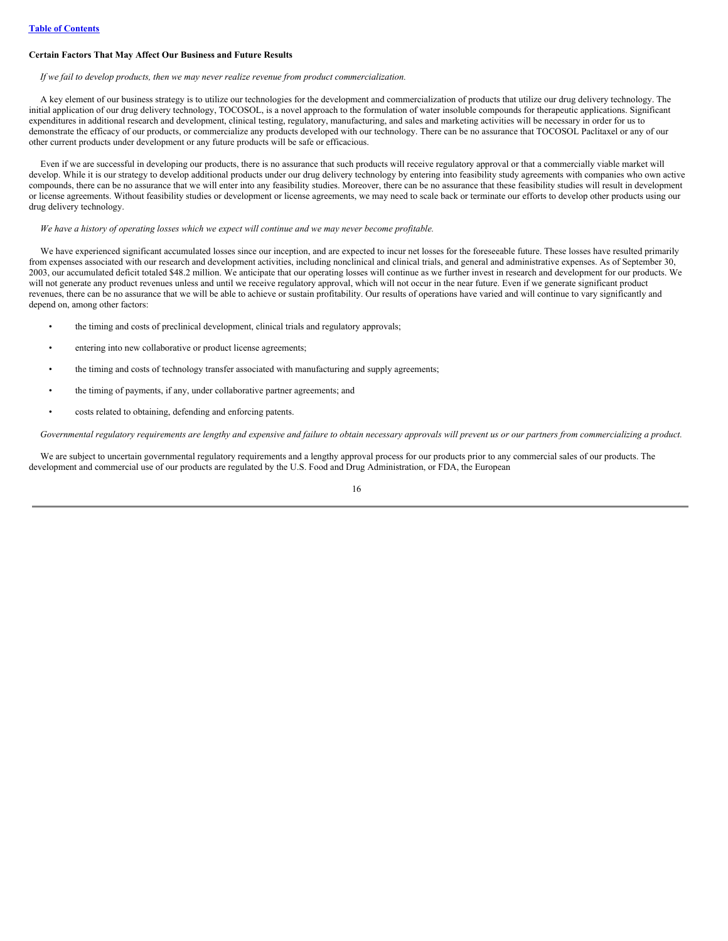#### **Certain Factors That May Affect Our Business and Future Results**

#### *If we fail to develop products, then we may never realize revenue from product commercialization.*

A key element of our business strategy is to utilize our technologies for the development and commercialization of products that utilize our drug delivery technology. The initial application of our drug delivery technology, TOCOSOL, is a novel approach to the formulation of water insoluble compounds for therapeutic applications. Significant expenditures in additional research and development, clinical testing, regulatory, manufacturing, and sales and marketing activities will be necessary in order for us to demonstrate the efficacy of our products, or commercialize any products developed with our technology. There can be no assurance that TOCOSOL Paclitaxel or any of our other current products under development or any future products will be safe or efficacious.

Even if we are successful in developing our products, there is no assurance that such products will receive regulatory approval or that a commercially viable market will develop. While it is our strategy to develop additional products under our drug delivery technology by entering into feasibility study agreements with companies who own active compounds, there can be no assurance that we will enter into any feasibility studies. Moreover, there can be no assurance that these feasibility studies will result in development or license agreements. Without feasibility studies or development or license agreements, we may need to scale back or terminate our efforts to develop other products using our drug delivery technology.

#### We have a history of operating losses which we expect will continue and we may never become profitable.

We have experienced significant accumulated losses since our inception, and are expected to incur net losses for the foreseeable future. These losses have resulted primarily from expenses associated with our research and development activities, including nonclinical and clinical trials, and general and administrative expenses. As of September 30, 2003, our accumulated deficit totaled \$48.2 million. We anticipate that our operating losses will continue as we further invest in research and development for our products. We will not generate any product revenues unless and until we receive regulatory approval, which will not occur in the near future. Even if we generate significant product revenues, there can be no assurance that we will be able to achieve or sustain profitability. Our results of operations have varied and will continue to vary significantly and depend on, among other factors:

- the timing and costs of preclinical development, clinical trials and regulatory approvals;
- entering into new collaborative or product license agreements;
- the timing and costs of technology transfer associated with manufacturing and supply agreements;
- the timing of payments, if any, under collaborative partner agreements; and
- costs related to obtaining, defending and enforcing patents.

Governmental regulatory requirements are lengthy and expensive and failure to obtain necessary approvals will prevent us or our partners from commercializing a product.

We are subject to uncertain governmental regulatory requirements and a lengthy approval process for our products prior to any commercial sales of our products. The development and commercial use of our products are regulated by the U.S. Food and Drug Administration, or FDA, the European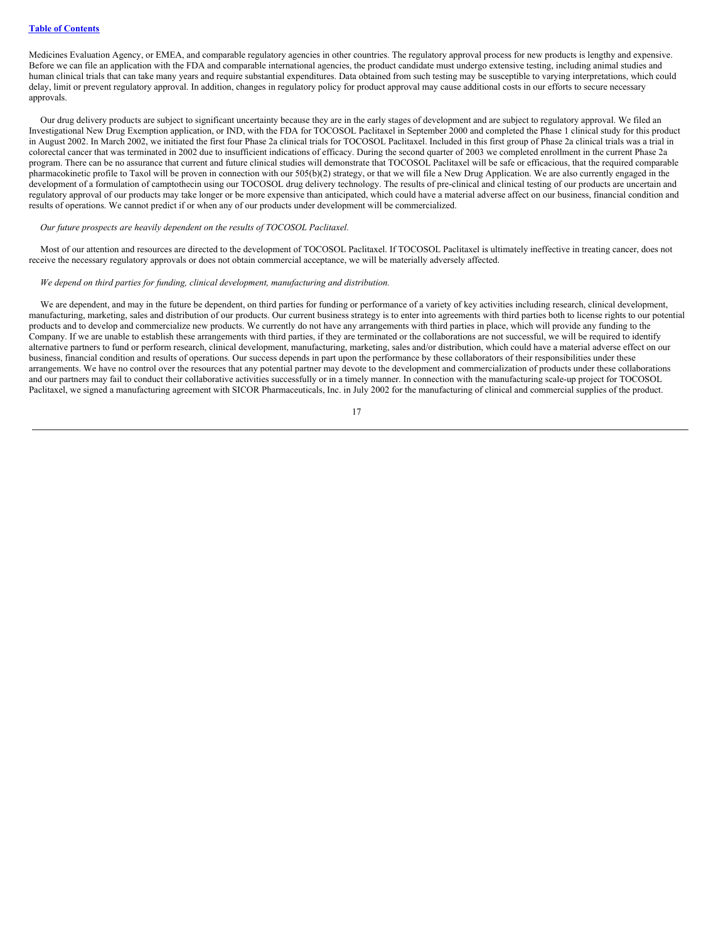Medicines Evaluation Agency, or EMEA, and comparable regulatory agencies in other countries. The regulatory approval process for new products is lengthy and expensive. Before we can file an application with the FDA and comparable international agencies, the product candidate must undergo extensive testing, including animal studies and human clinical trials that can take many years and require substantial expenditures. Data obtained from such testing may be susceptible to varying interpretations, which could delay, limit or prevent regulatory approval. In addition, changes in regulatory policy for product approval may cause additional costs in our efforts to secure necessary approvals.

Our drug delivery products are subject to significant uncertainty because they are in the early stages of development and are subject to regulatory approval. We filed an Investigational New Drug Exemption application, or IND, with the FDA for TOCOSOL Paclitaxel in September 2000 and completed the Phase 1 clinical study for this product in August 2002. In March 2002, we initiated the first four Phase 2a clinical trials for TOCOSOL Paclitaxel. Included in this first group of Phase 2a clinical trials was a trial in colorectal cancer that was terminated in 2002 due to insufficient indications of efficacy. During the second quarter of 2003 we completed enrollment in the current Phase 2a program. There can be no assurance that current and future clinical studies will demonstrate that TOCOSOL Paclitaxel will be safe or efficacious, that the required comparable pharmacokinetic profile to Taxol will be proven in connection with our 505(b)(2) strategy, or that we will file a New Drug Application. We are also currently engaged in the development of a formulation of camptothecin using our TOCOSOL drug delivery technology. The results of pre-clinical and clinical testing of our products are uncertain and regulatory approval of our products may take longer or be more expensive than anticipated, which could have a material adverse affect on our business, financial condition and results of operations. We cannot predict if or when any of our products under development will be commercialized.

#### *Our future prospects are heavily dependent on the results of TOCOSOL Paclitaxel.*

Most of our attention and resources are directed to the development of TOCOSOL Paclitaxel. If TOCOSOL Paclitaxel is ultimately ineffective in treating cancer, does not receive the necessary regulatory approvals or does not obtain commercial acceptance, we will be materially adversely affected.

#### *We depend on third parties for funding, clinical development, manufacturing and distribution.*

We are dependent, and may in the future be dependent, on third parties for funding or performance of a variety of key activities including research, clinical development, manufacturing, marketing, sales and distribution of our products. Our current business strategy is to enter into agreements with third parties both to license rights to our potential products and to develop and commercialize new products. We currently do not have any arrangements with third parties in place, which will provide any funding to the Company. If we are unable to establish these arrangements with third parties, if they are terminated or the collaborations are not successful, we will be required to identify alternative partners to fund or perform research, clinical development, manufacturing, marketing, sales and/or distribution, which could have a material adverse effect on our business, financial condition and results of operations. Our success depends in part upon the performance by these collaborators of their responsibilities under these arrangements. We have no control over the resources that any potential partner may devote to the development and commercialization of products under these collaborations and our partners may fail to conduct their collaborative activities successfully or in a timely manner. In connection with the manufacturing scale-up project for TOCOSOL Paclitaxel, we signed a manufacturing agreement with SICOR Pharmaceuticals, Inc. in July 2002 for the manufacturing of clinical and commercial supplies of the product.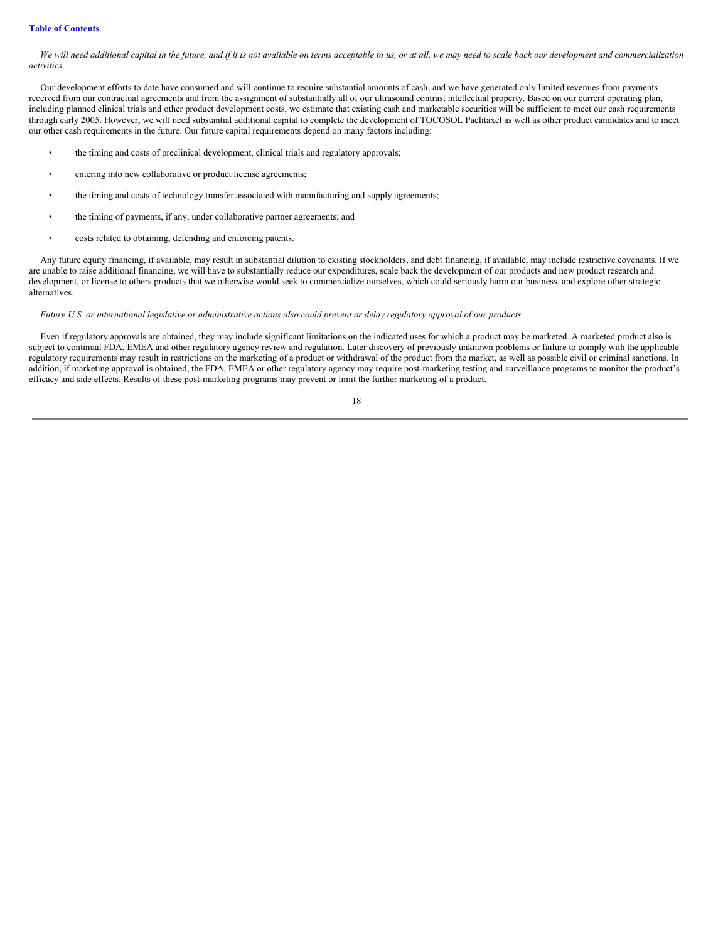We will need additional capital in the future, and if it is not available on terms acceptable to us, or at all, we may need to scale back our development and commercialization *activities.*

Our development efforts to date have consumed and will continue to require substantial amounts of cash, and we have generated only limited revenues from payments received from our contractual agreements and from the assignment of substantially all of our ultrasound contrast intellectual property. Based on our current operating plan, including planned clinical trials and other product development costs, we estimate that existing cash and marketable securities will be sufficient to meet our cash requirements through early 2005. However, we will need substantial additional capital to complete the development of TOCOSOL Paclitaxel as well as other product candidates and to meet our other cash requirements in the future. Our future capital requirements depend on many factors including:

- the timing and costs of preclinical development, clinical trials and regulatory approvals;
- entering into new collaborative or product license agreements;
- the timing and costs of technology transfer associated with manufacturing and supply agreements;
- the timing of payments, if any, under collaborative partner agreements; and
- costs related to obtaining, defending and enforcing patents.

Any future equity financing, if available, may result in substantial dilution to existing stockholders, and debt financing, if available, may include restrictive covenants. If we are unable to raise additional financing, we will have to substantially reduce our expenditures, scale back the development of our products and new product research and development, or license to others products that we otherwise would seek to commercialize ourselves, which could seriously harm our business, and explore other strategic alternatives.

Future U.S. or international legislative or administrative actions also could prevent or delay regulatory approval of our products.

Even if regulatory approvals are obtained, they may include significant limitations on the indicated uses for which a product may be marketed. A marketed product also is subject to continual FDA, EMEA and other regulatory agency review and regulation. Later discovery of previously unknown problems or failure to comply with the applicable regulatory requirements may result in restrictions on the marketing of a product or withdrawal of the product from the market, as well as possible civil or criminal sanctions. In addition, if marketing approval is obtained, the FDA, EMEA or other regulatory agency may require post-marketing testing and surveillance programs to monitor the product's efficacy and side effects. Results of these post-marketing programs may prevent or limit the further marketing of a product.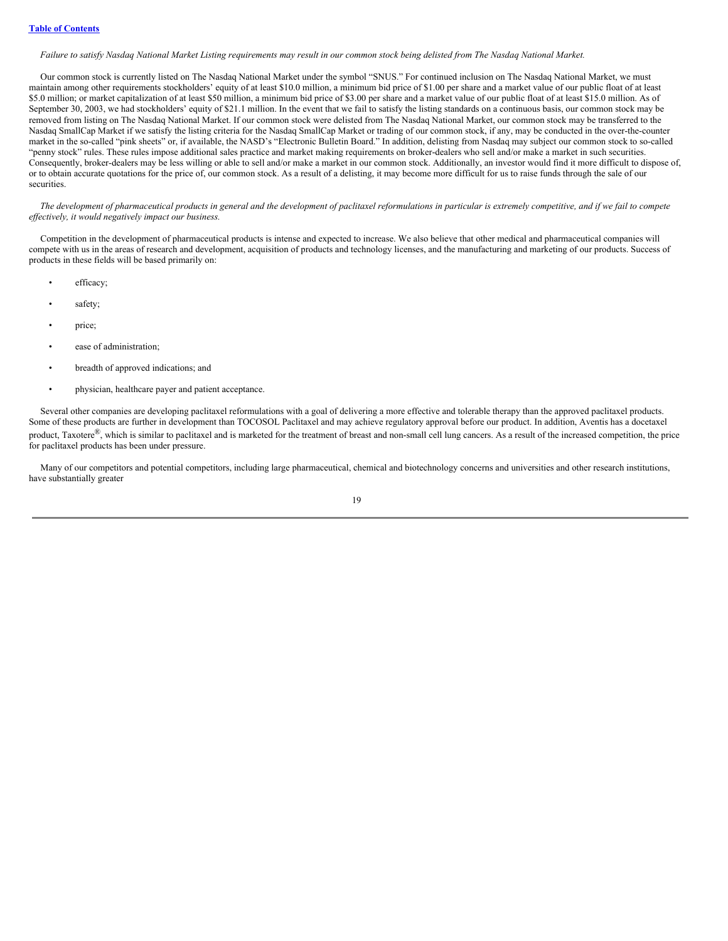#### Failure to satisfy Nasdaq National Market Listing requirements may result in our common stock being delisted from The Nasdaq National Market.

Our common stock is currently listed on The Nasdaq National Market under the symbol "SNUS." For continued inclusion on The Nasdaq National Market, we must maintain among other requirements stockholders' equity of at least \$10.0 million, a minimum bid price of \$1.00 per share and a market value of our public float of at least \$5.0 million; or market capitalization of at least \$50 million, a minimum bid price of \$3.00 per share and a market value of our public float of at least \$15.0 million. As of September 30, 2003, we had stockholders' equity of \$21.1 million. In the event that we fail to satisfy the listing standards on a continuous basis, our common stock may be removed from listing on The Nasdaq National Market. If our common stock were delisted from The Nasdaq National Market, our common stock may be transferred to the Nasdaq SmallCap Market if we satisfy the listing criteria for the Nasdaq SmallCap Market or trading of our common stock, if any, may be conducted in the over-the-counter market in the so-called "pink sheets" or, if available, the NASD's "Electronic Bulletin Board." In addition, delisting from Nasdaq may subject our common stock to so-called "penny stock" rules. These rules impose additional sales practice and market making requirements on broker-dealers who sell and/or make a market in such securities. Consequently, broker-dealers may be less willing or able to sell and/or make a market in our common stock. Additionally, an investor would find it more difficult to dispose of, or to obtain accurate quotations for the price of, our common stock. As a result of a delisting, it may become more difficult for us to raise funds through the sale of our securities.

The development of pharmaceutical products in general and the development of paclitaxel reformulations in particular is extremely competitive, and if we fail to compete *ef ectively, it would negatively impact our business.*

Competition in the development of pharmaceutical products is intense and expected to increase. We also believe that other medical and pharmaceutical companies will compete with us in the areas of research and development, acquisition of products and technology licenses, and the manufacturing and marketing of our products. Success of products in these fields will be based primarily on:

- efficacy;
- safety;
- price;
- ease of administration;
- breadth of approved indications; and
- physician, healthcare payer and patient acceptance.

Several other companies are developing paclitaxel reformulations with a goal of delivering a more effective and tolerable therapy than the approved paclitaxel products. Some of these products are further in development than TOCOSOL Paclitaxel and may achieve regulatory approval before our product. In addition, Aventis has a docetaxel product, Taxotere®, which is similar to paclitaxel and is marketed for the treatment of breast and non-small cell lung cancers. As a result of the increased competition, the price for paclitaxel products has been under pressure.

Many of our competitors and potential competitors, including large pharmaceutical, chemical and biotechnology concerns and universities and other research institutions, have substantially greater

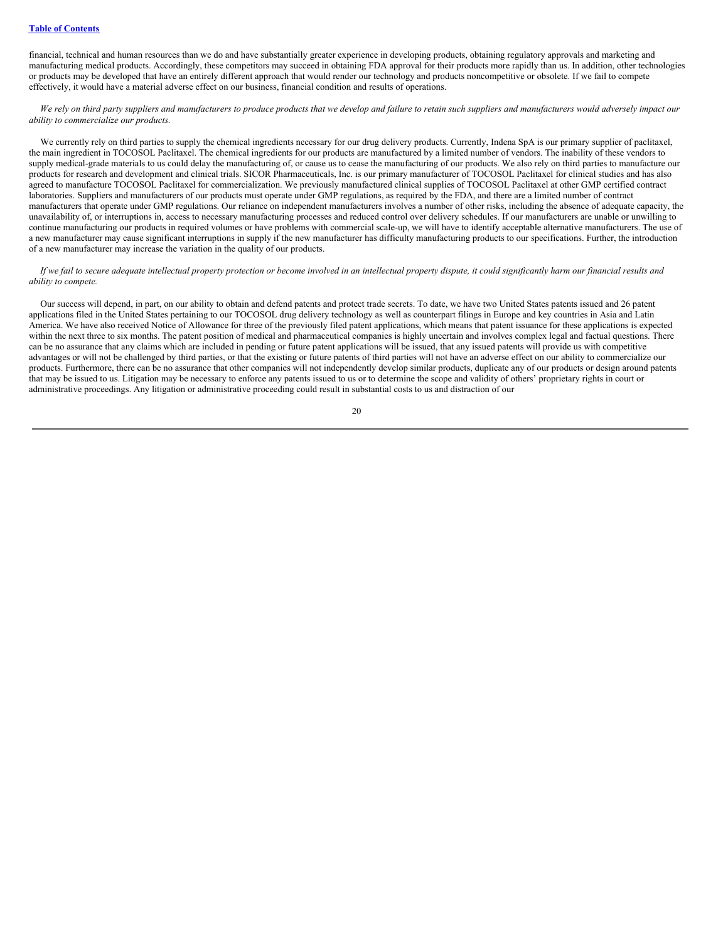financial, technical and human resources than we do and have substantially greater experience in developing products, obtaining regulatory approvals and marketing and manufacturing medical products. Accordingly, these competitors may succeed in obtaining FDA approval for their products more rapidly than us. In addition, other technologies or products may be developed that have an entirely different approach that would render our technology and products noncompetitive or obsolete. If we fail to compete effectively, it would have a material adverse effect on our business, financial condition and results of operations.

We rely on third party suppliers and manufacturers to produce products that we develop and failure to retain such suppliers and manufacturers would adversely impact our *ability to commercialize our products.*

We currently rely on third parties to supply the chemical ingredients necessary for our drug delivery products. Currently, Indena SpA is our primary supplier of paclitaxel, the main ingredient in TOCOSOL Paclitaxel. The chemical ingredients for our products are manufactured by a limited number of vendors. The inability of these vendors to supply medical-grade materials to us could delay the manufacturing of, or cause us to cease the manufacturing of our products. We also rely on third parties to manufacture our products for research and development and clinical trials. SICOR Pharmaceuticals, Inc. is our primary manufacturer of TOCOSOL Paclitaxel for clinical studies and has also agreed to manufacture TOCOSOL Paclitaxel for commercialization. We previously manufactured clinical supplies of TOCOSOL Paclitaxel at other GMP certified contract laboratories. Suppliers and manufacturers of our products must operate under GMP regulations, as required by the FDA, and there are a limited number of contract manufacturers that operate under GMP regulations. Our reliance on independent manufacturers involves a number of other risks, including the absence of adequate capacity, the unavailability of, or interruptions in, access to necessary manufacturing processes and reduced control over delivery schedules. If our manufacturers are unable or unwilling to continue manufacturing our products in required volumes or have problems with commercial scale-up, we will have to identify acceptable alternative manufacturers. The use of a new manufacturer may cause significant interruptions in supply if the new manufacturer has difficulty manufacturing products to our specifications. Further, the introduction of a new manufacturer may increase the variation in the quality of our products.

#### If we fail to secure adequate intellectual property protection or become involved in an intellectual property dispute, it could significantly harm our financial results and *ability to compete.*

Our success will depend, in part, on our ability to obtain and defend patents and protect trade secrets. To date, we have two United States patents issued and 26 patent applications filed in the United States pertaining to our TOCOSOL drug delivery technology as well as counterpart filings in Europe and key countries in Asia and Latin America. We have also received Notice of Allowance for three of the previously filed patent applications, which means that patent issuance for these applications is expected within the next three to six months. The patent position of medical and pharmaceutical companies is highly uncertain and involves complex legal and factual questions. There can be no assurance that any claims which are included in pending or future patent applications will be issued, that any issued patents will provide us with competitive advantages or will not be challenged by third parties, or that the existing or future patents of third parties will not have an adverse effect on our ability to commercialize our products. Furthermore, there can be no assurance that other companies will not independently develop similar products, duplicate any of our products or design around patents that may be issued to us. Litigation may be necessary to enforce any patents issued to us or to determine the scope and validity of others' proprietary rights in court or administrative proceedings. Any litigation or administrative proceeding could result in substantial costs to us and distraction of our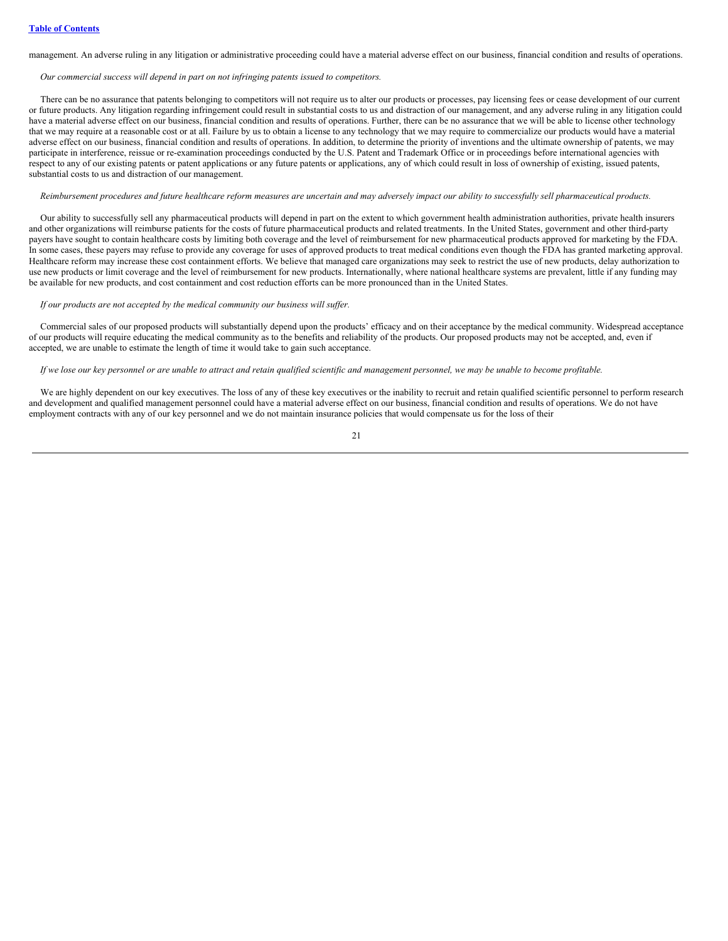management. An adverse ruling in any litigation or administrative proceeding could have a material adverse effect on our business, financial condition and results of operations.

#### *Our commercial success will depend in part on not infringing patents issued to competitors.*

There can be no assurance that patents belonging to competitors will not require us to alter our products or processes, pay licensing fees or cease development of our current or future products. Any litigation regarding infringement could result in substantial costs to us and distraction of our management, and any adverse ruling in any litigation could have a material adverse effect on our business, financial condition and results of operations. Further, there can be no assurance that we will be able to license other technology that we may require at a reasonable cost or at all. Failure by us to obtain a license to any technology that we may require to commercialize our products would have a material adverse effect on our business, financial condition and results of operations. In addition, to determine the priority of inventions and the ultimate ownership of patents, we may participate in interference, reissue or re-examination proceedings conducted by the U.S. Patent and Trademark Office or in proceedings before international agencies with respect to any of our existing patents or patent applications or any future patents or applications, any of which could result in loss of ownership of existing, issued patents, substantial costs to us and distraction of our management.

#### Reimbursement procedures and future healthcare reform measures are uncertain and may adversely impact our ability to successfully sell pharmaceutical products.

Our ability to successfully sell any pharmaceutical products will depend in part on the extent to which government health administration authorities, private health insurers and other organizations will reimburse patients for the costs of future pharmaceutical products and related treatments. In the United States, government and other third-party payers have sought to contain healthcare costs by limiting both coverage and the level of reimbursement for new pharmaceutical products approved for marketing by the FDA. In some cases, these payers may refuse to provide any coverage for uses of approved products to treat medical conditions even though the FDA has granted marketing approval. Healthcare reform may increase these cost containment efforts. We believe that managed care organizations may seek to restrict the use of new products, delay authorization to use new products or limit coverage and the level of reimbursement for new products. Internationally, where national healthcare systems are prevalent, little if any funding may be available for new products, and cost containment and cost reduction efforts can be more pronounced than in the United States.

#### *If our products are not accepted by the medical community our business will suf er.*

Commercial sales of our proposed products will substantially depend upon the products' efficacy and on their acceptance by the medical community. Widespread acceptance of our products will require educating the medical community as to the benefits and reliability of the products. Our proposed products may not be accepted, and, even if accepted, we are unable to estimate the length of time it would take to gain such acceptance.

#### If we lose our key personnel or are unable to attract and retain qualified scientific and management personnel, we may be unable to become profitable.

We are highly dependent on our key executives. The loss of any of these key executives or the inability to recruit and retain qualified scientific personnel to perform research and development and qualified management personnel could have a material adverse effect on our business, financial condition and results of operations. We do not have employment contracts with any of our key personnel and we do not maintain insurance policies that would compensate us for the loss of their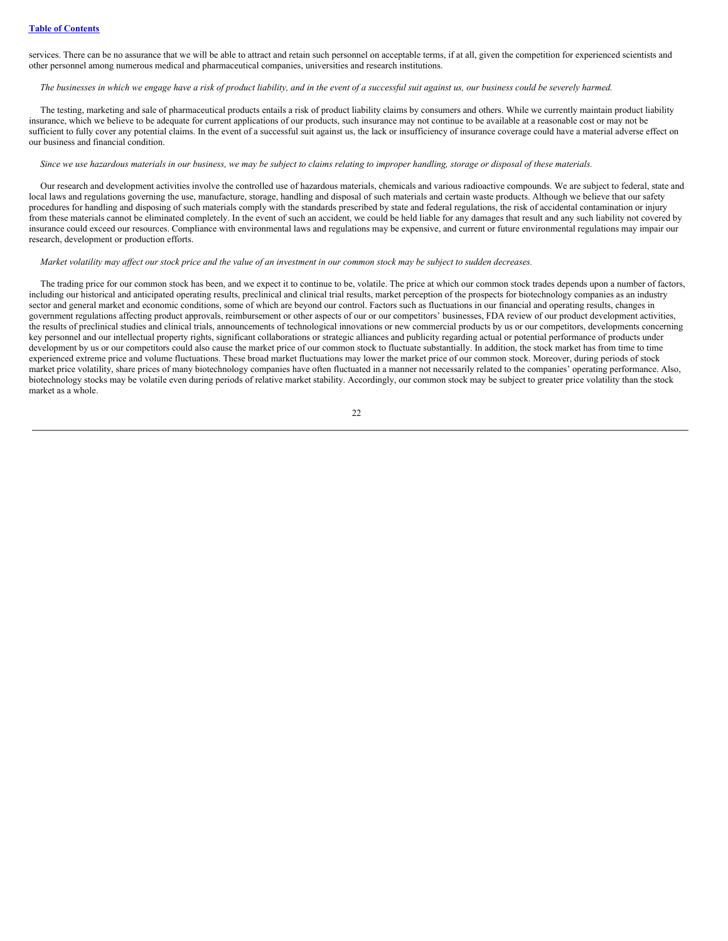services. There can be no assurance that we will be able to attract and retain such personnel on acceptable terms, if at all, given the competition for experienced scientists and other personnel among numerous medical and pharmaceutical companies, universities and research institutions.

#### The businesses in which we engage have a risk of product liability, and in the event of a successful suit against us, our business could be severely harmed.

The testing, marketing and sale of pharmaceutical products entails a risk of product liability claims by consumers and others. While we currently maintain product liability insurance, which we believe to be adequate for current applications of our products, such insurance may not continue to be available at a reasonable cost or may not be sufficient to fully cover any potential claims. In the event of a successful suit against us, the lack or insufficiency of insurance coverage could have a material adverse effect on our business and financial condition.

#### Since we use hazardous materials in our business, we may be subject to claims relating to improper handling, storage or disposal of these materials.

Our research and development activities involve the controlled use of hazardous materials, chemicals and various radioactive compounds. We are subject to federal, state and local laws and regulations governing the use, manufacture, storage, handling and disposal of such materials and certain waste products. Although we believe that our safety procedures for handling and disposing of such materials comply with the standards prescribed by state and federal regulations, the risk of accidental contamination or injury from these materials cannot be eliminated completely. In the event of such an accident, we could be held liable for any damages that result and any such liability not covered by insurance could exceed our resources. Compliance with environmental laws and regulations may be expensive, and current or future environmental regulations may impair our research, development or production efforts.

#### Market volatility may affect our stock price and the value of an investment in our common stock may be subject to sudden decreases.

The trading price for our common stock has been, and we expect it to continue to be, volatile. The price at which our common stock trades depends upon a number of factors, including our historical and anticipated operating results, preclinical and clinical trial results, market perception of the prospects for biotechnology companies as an industry sector and general market and economic conditions, some of which are beyond our control. Factors such as fluctuations in our financial and operating results, changes in government regulations affecting product approvals, reimbursement or other aspects of our or our competitors' businesses, FDA review of our product development activities, the results of preclinical studies and clinical trials, announcements of technological innovations or new commercial products by us or our competitors, developments concerning key personnel and our intellectual property rights, significant collaborations or strategic alliances and publicity regarding actual or potential performance of products under development by us or our competitors could also cause the market price of our common stock to fluctuate substantially. In addition, the stock market has from time to time experienced extreme price and volume fluctuations. These broad market fluctuations may lower the market price of our common stock. Moreover, during periods of stock market price volatility, share prices of many biotechnology companies have often fluctuated in a manner not necessarily related to the companies' operating performance. Also, biotechnology stocks may be volatile even during periods of relative market stability. Accordingly, our common stock may be subject to greater price volatility than the stock market as a whole.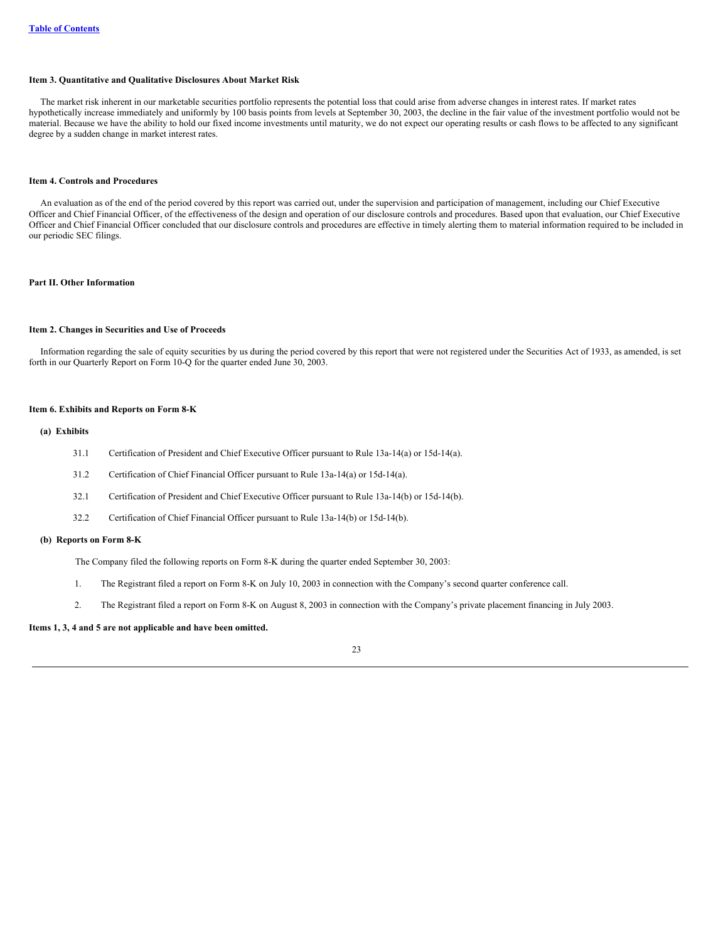#### <span id="page-23-0"></span>**Item 3. Quantitative and Qualitative Disclosures About Market Risk**

The market risk inherent in our marketable securities portfolio represents the potential loss that could arise from adverse changes in interest rates. If market rates hypothetically increase immediately and uniformly by 100 basis points from levels at September 30, 2003, the decline in the fair value of the investment portfolio would not be material. Because we have the ability to hold our fixed income investments until maturity, we do not expect our operating results or cash flows to be affected to any significant degree by a sudden change in market interest rates.

#### <span id="page-23-1"></span>**Item 4. Controls and Procedures**

An evaluation as of the end of the period covered by this report was carried out, under the supervision and participation of management, including our Chief Executive Officer and Chief Financial Officer, of the effectiveness of the design and operation of our disclosure controls and procedures. Based upon that evaluation, our Chief Executive Officer and Chief Financial Officer concluded that our disclosure controls and procedures are effective in timely alerting them to material information required to be included in our periodic SEC filings.

#### <span id="page-23-3"></span><span id="page-23-2"></span>**Part II. Other Information**

#### **Item 2. Changes in Securities and Use of Proceeds**

Information regarding the sale of equity securities by us during the period covered by this report that were not registered under the Securities Act of 1933, as amended, is set forth in our Quarterly Report on Form 10-Q for the quarter ended June 30, 2003.

#### <span id="page-23-4"></span>**Item 6. Exhibits and Reports on Form 8-K**

#### **(a) Exhibits**

- 31.1 Certification of President and Chief Executive Officer pursuant to Rule 13a-14(a) or 15d-14(a).
- 31.2 Certification of Chief Financial Officer pursuant to Rule 13a-14(a) or 15d-14(a).
- 32.1 Certification of President and Chief Executive Officer pursuant to Rule 13a-14(b) or 15d-14(b).
- 32.2 Certification of Chief Financial Officer pursuant to Rule 13a-14(b) or 15d-14(b).

#### **(b) Reports on Form 8-K**

The Company filed the following reports on Form 8-K during the quarter ended September 30, 2003:

- 1. The Registrant filed a report on Form 8-K on July 10, 2003 in connection with the Company's second quarter conference call.
- 2. The Registrant filed a report on Form 8-K on August 8, 2003 in connection with the Company's private placement financing in July 2003.

#### **Items 1, 3, 4 and 5 are not applicable and have been omitted.**

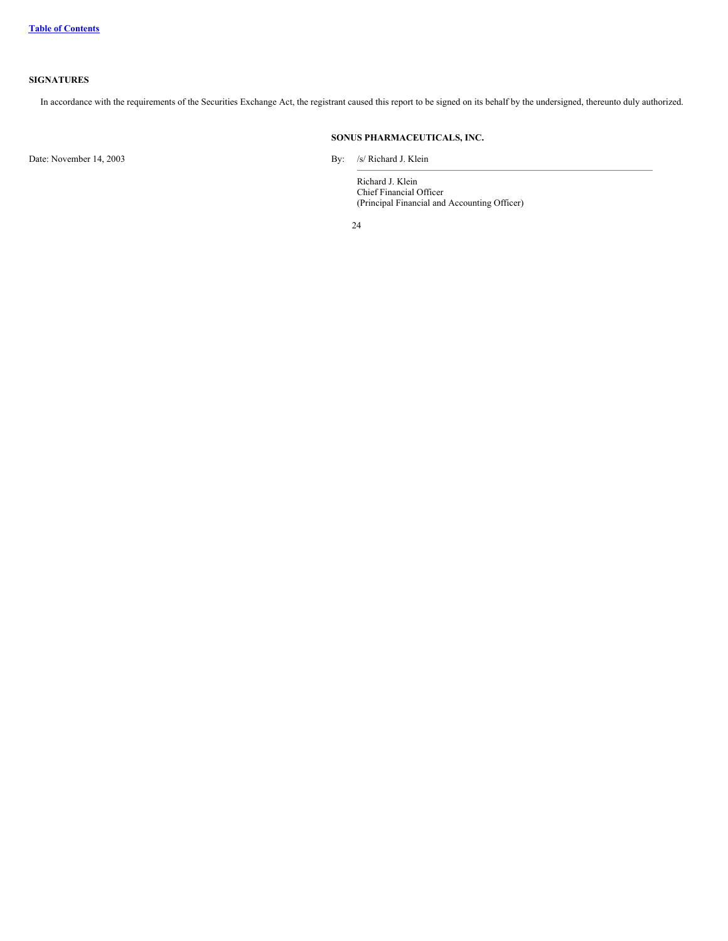## <span id="page-24-0"></span>**SIGNATURES**

In accordance with the requirements of the Securities Exchange Act, the registrant caused this report to be signed on its behalf by the undersigned, thereunto duly authorized.

## **SONUS PHARMACEUTICALS, INC.**

Date: November 14, 2003 By: /s/ Richard J. Klein

Richard J. Klein Chief Financial Officer (Principal Financial and Accounting Officer)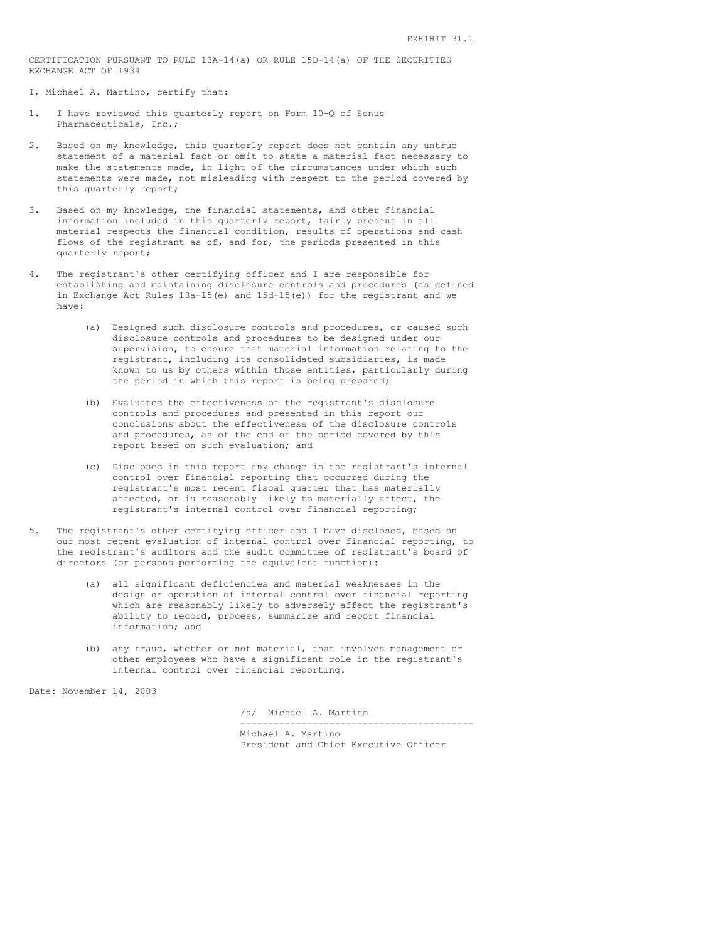<span id="page-25-0"></span>CERTIFICATION PURSUANT TO RULE 13A-14(a) OR RULE 15D-14(a) OF THE SECURITIES EXCHANGE ACT OF 1934

I, Michael A. Martino, certify that:

- 1. I have reviewed this quarterly report on Form 10-Q of Sonus Pharmaceuticals, Inc.;
- 2. Based on my knowledge, this quarterly report does not contain any untrue statement of a material fact or omit to state a material fact necessary to make the statements made, in light of the circumstances under which such statements were made, not misleading with respect to the period covered by this quarterly report;
- 3. Based on my knowledge, the financial statements, and other financial information included in this quarterly report, fairly present in all material respects the financial condition, results of operations and cash flows of the registrant as of, and for, the periods presented in this quarterly report;
- 4. The registrant's other certifying officer and I are responsible for establishing and maintaining disclosure controls and procedures (as defined in Exchange Act Rules 13a-15(e) and 15d-15(e)) for the registrant and we have:
	- (a) Designed such disclosure controls and procedures, or caused such disclosure controls and procedures to be designed under our supervision, to ensure that material information relating to the registrant, including its consolidated subsidiaries, is made known to us by others within those entities, particularly during the period in which this report is being prepared;
	- (b) Evaluated the effectiveness of the registrant's disclosure controls and procedures and presented in this report our conclusions about the effectiveness of the disclosure controls and procedures, as of the end of the period covered by this report based on such evaluation; and
	- (c) Disclosed in this report any change in the registrant's internal control over financial reporting that occurred during the registrant's most recent fiscal quarter that has materially affected, or is reasonably likely to materially affect, the registrant's internal control over financial reporting;
- 5. The registrant's other certifying officer and I have disclosed, based on our most recent evaluation of internal control over financial reporting, to the registrant's auditors and the audit committee of registrant's board of directors (or persons performing the equivalent function):
	- (a) all significant deficiencies and material weaknesses in the design or operation of internal control over financial reporting which are reasonably likely to adversely affect the registrant's ability to record, process, summarize and report financial information; and
	- (b) any fraud, whether or not material, that involves management or other employees who have a significant role in the registrant's internal control over financial reporting.

Date: November 14, 2003

/s/ Michael A. Martino

Michael A. Martino President and Chief Executive Officer

------------------------------------------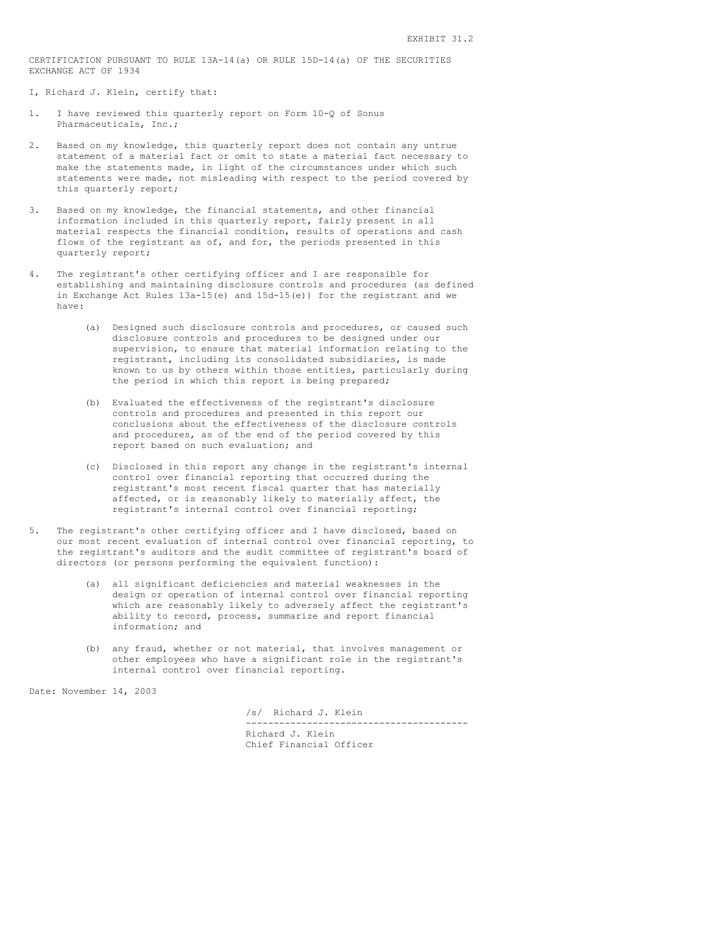<span id="page-26-0"></span>CERTIFICATION PURSUANT TO RULE 13A-14(a) OR RULE 15D-14(a) OF THE SECURITIES EXCHANGE ACT OF 1934

I, Richard J. Klein, certify that:

- 1. I have reviewed this quarterly report on Form 10-Q of Sonus Pharmaceuticals, Inc.;
- 2. Based on my knowledge, this quarterly report does not contain any untrue statement of a material fact or omit to state a material fact necessary to make the statements made, in light of the circumstances under which such statements were made, not misleading with respect to the period covered by this quarterly report;
- 3. Based on my knowledge, the financial statements, and other financial information included in this quarterly report, fairly present in all material respects the financial condition, results of operations and cash flows of the registrant as of, and for, the periods presented in this quarterly report;
- 4. The registrant's other certifying officer and I are responsible for establishing and maintaining disclosure controls and procedures (as defined in Exchange Act Rules 13a-15(e) and 15d-15(e)) for the registrant and we have:
	- (a) Designed such disclosure controls and procedures, or caused such disclosure controls and procedures to be designed under our supervision, to ensure that material information relating to the registrant, including its consolidated subsidiaries, is made known to us by others within those entities, particularly during the period in which this report is being prepared;
	- (b) Evaluated the effectiveness of the registrant's disclosure controls and procedures and presented in this report our conclusions about the effectiveness of the disclosure controls and procedures, as of the end of the period covered by this report based on such evaluation; and
	- (c) Disclosed in this report any change in the registrant's internal control over financial reporting that occurred during the registrant's most recent fiscal quarter that has materially affected, or is reasonably likely to materially affect, the registrant's internal control over financial reporting;
- 5. The registrant's other certifying officer and I have disclosed, based on our most recent evaluation of internal control over financial reporting, to the registrant's auditors and the audit committee of registrant's board of directors (or persons performing the equivalent function):
	- (a) all significant deficiencies and material weaknesses in the design or operation of internal control over financial reporting which are reasonably likely to adversely affect the registrant's ability to record, process, summarize and report financial information; and
	- (b) any fraud, whether or not material, that involves management or other employees who have a significant role in the registrant's internal control over financial reporting.

Date: November 14, 2003

/s/ Richard J. Klein

---------------------------------------- Richard J. Klein Chief Financial Officer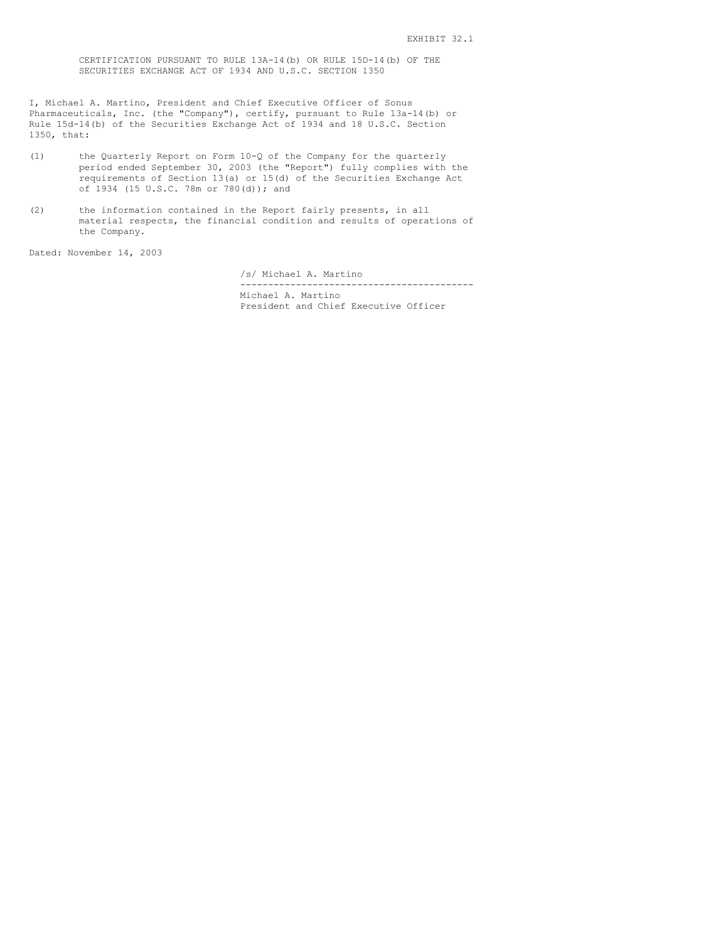<span id="page-27-0"></span>CERTIFICATION PURSUANT TO RULE 13A-14(b) OR RULE 15D-14(b) OF THE SECURITIES EXCHANGE ACT OF 1934 AND U.S.C. SECTION 1350

I, Michael A. Martino, President and Chief Executive Officer of Sonus Pharmaceuticals, Inc. (the "Company"), certify, pursuant to Rule 13a-14(b) or Rule 15d-14(b) of the Securities Exchange Act of 1934 and 18 U.S.C. Section 1350, that:

- (1) the Quarterly Report on Form 10-Q of the Company for the quarterly period ended September 30, 2003 (the "Report") fully complies with the requirements of Section 13(a) or 15(d) of the Securities Exchange Act of 1934 (15 U.S.C. 78m or 780(d)); and
- (2) the information contained in the Report fairly presents, in all material respects, the financial condition and results of operations of the Company.

Dated: November 14, 2003

/s/ Michael A. Martino

------------------------------------------ Michael A. Martino

President and Chief Executive Officer